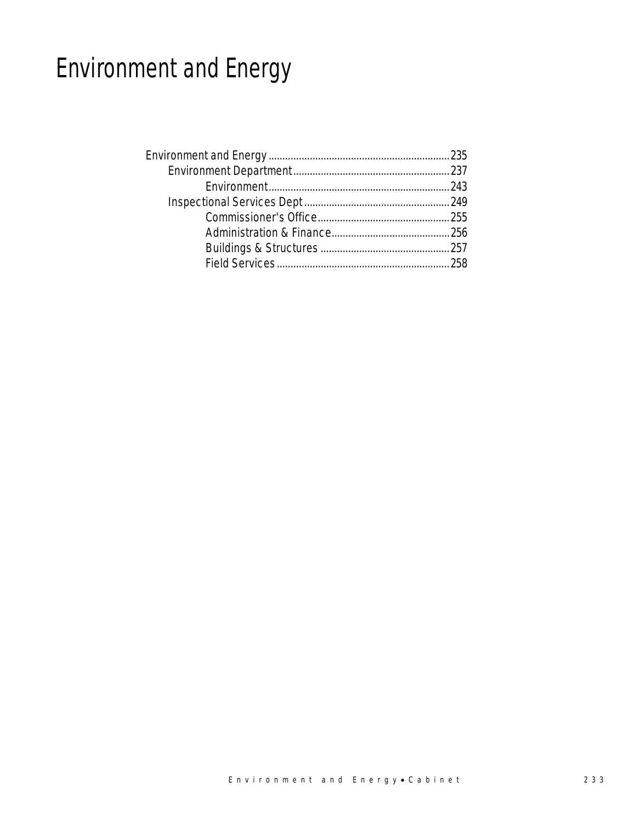# Environment and Energy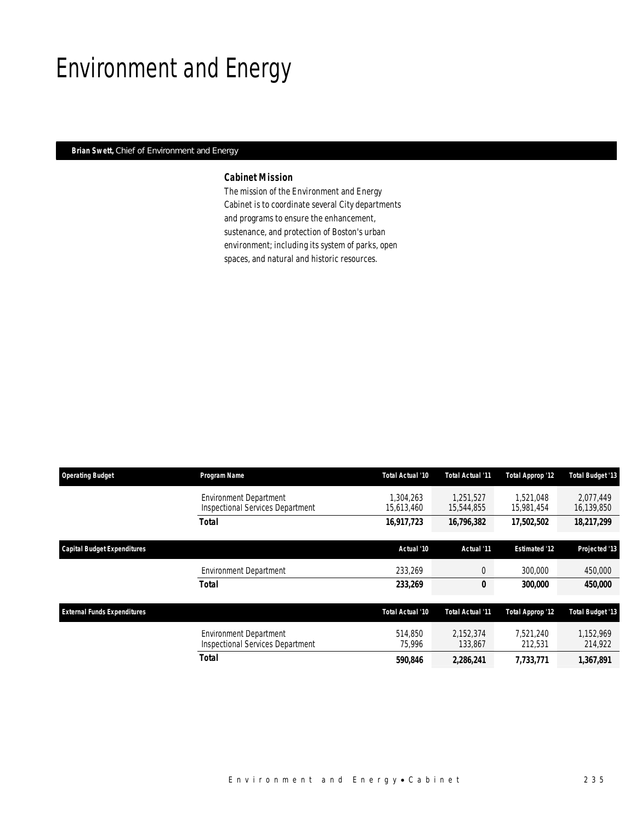## Environment and Energy

## *Brian Swett, Chief of Environment and Energy*

## *Cabinet Mission*

The mission of the Environment and Energy Cabinet is to coordinate several City departments and programs to ensure the enhancement, sustenance, and protection of Boston's urban environment; including its system of parks, open spaces, and natural and historic resources.

| <b>Operating Budget</b>            | Program Name                                                      | Total Actual '10       | Total Actual '11        | Total Approp '12        | Total Budget '13        |
|------------------------------------|-------------------------------------------------------------------|------------------------|-------------------------|-------------------------|-------------------------|
|                                    | <b>Environment Department</b><br>Inspectional Services Department | .304.263<br>15,613,460 | 1.251.527<br>15,544,855 | 1.521.048<br>15,981,454 | 2.077.449<br>16,139,850 |
|                                    | <b>Total</b>                                                      | 16,917,723             | 16,796,382              | 17,502,502              | 18,217,299              |
| Capital Budget Expenditures        |                                                                   | Actual '10             | Actual '11              | <b>Estimated '12</b>    | Projected '13           |
|                                    | <b>Environment Department</b>                                     | 233,269                | $\theta$                | 300,000                 | 450,000                 |
|                                    | Total                                                             | 233,269                | 0                       | 300,000                 | <i><b>450,000</b></i>   |
| <b>External Funds Expenditures</b> |                                                                   | Total Actual '10       | Total Actual '11        | Total Approp '12        | <b>Total Budget '13</b> |
|                                    | <b>Environment Department</b><br>Inspectional Services Department | 514.850<br>75,996      | 2,152,374<br>133,867    | 7,521,240<br>212,531    | 1,152,969<br>214,922    |
|                                    | <b>Total</b>                                                      | 590.846                | 2,286,241               | 7,733,771               | 1,367,891               |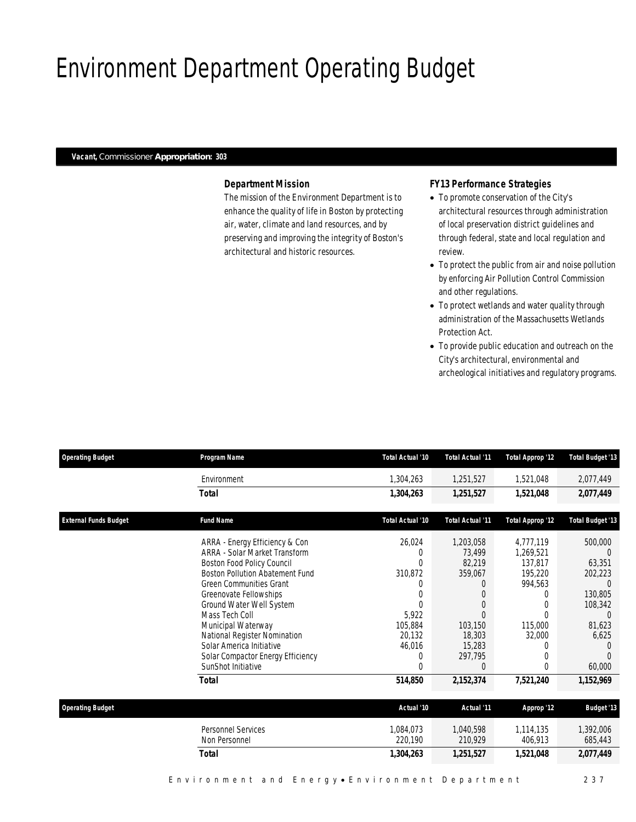## Environment Department Operating Budget

### *Vacant, Commissioner Appropriation: 303*

## *Department Mission*

The mission of the Environment Department is to enhance the quality of life in Boston by protecting air, water, climate and land resources, and by preserving and improving the integrity of Boston's architectural and historic resources.

## *FY13 Performance Strategies*

- To promote conservation of the City's architectural resources through administration of local preservation district guidelines and through federal, state and local regulation and review.
- To protect the public from air and noise pollution by enforcing Air Pollution Control Commission and other regulations.
- To protect wetlands and water quality through administration of the Massachusetts Wetlands Protection Act.
- To provide public education and outreach on the City's architectural, environmental and archeological initiatives and regulatory programs.

| <b>Operating Budget</b>      | Program Name                           | Total Actual '10     | <b>Total Actual '11</b> | <b>Total Approp '12</b> | <b>Total Budget '13</b> |
|------------------------------|----------------------------------------|----------------------|-------------------------|-------------------------|-------------------------|
|                              | Environment                            | 1,304,263            | 1,251,527               | 1,521,048               | 2,077,449               |
|                              | <b>Total</b>                           | 1,304,263            | 1,251,527               | 1,521,048               | 2,077,449               |
| <b>External Funds Budget</b> | <b>Fund Name</b>                       | Total Actual '10     | <b>Total Actual '11</b> | <b>Total Approp '12</b> | <b>Total Budget '13</b> |
|                              | ARRA - Energy Efficiency & Con         | 26,024               | 1,203,058               | 4,777,119               | 500,000                 |
|                              | ARRA - Solar Market Transform          |                      | 73,499                  | 1,269,521               |                         |
|                              | Boston Food Policy Council             | 0                    | 82,219                  | 137,817                 | 63,351                  |
|                              | <b>Boston Pollution Abatement Fund</b> | 310,872              | 359,067                 | 195,220                 | 202,223                 |
|                              | <b>Green Communities Grant</b>         |                      |                         | 994,563                 | $\Omega$                |
|                              | Greenovate Fellowships                 |                      |                         |                         | 130,805                 |
|                              | Ground Water Well System               | $\Omega$             | $\Omega$                |                         | 108,342                 |
|                              | Mass Tech Coll                         | 5,922                | $\Omega$                |                         | $\Omega$                |
|                              | Municipal Waterway                     | 105,884              | 103,150                 | 115,000                 | 81,623                  |
|                              | National Register Nomination           | 20,132               | 18,303                  | 32,000                  | 6,625                   |
|                              | Solar America Initiative               | 46,016               | 15,283                  | $\left( \right)$        |                         |
|                              | Solar Compactor Energy Efficiency      | 0                    | 297,795                 |                         |                         |
|                              | SunShot Initiative                     | 0                    | $\Omega$                | 0                       | 60,000                  |
|                              | <b>Total</b>                           | 514,850              | 2,152,374               | 7,521,240               | 1,152,969               |
| <b>Operating Budget</b>      |                                        | Actual '10           | Actual '11              | Approp '12              | <b>Budget '13</b>       |
|                              |                                        |                      |                         |                         |                         |
|                              | Personnel Services<br>Non Personnel    | 1,084,073<br>220,190 | 1,040,598<br>210,929    | 1,114,135<br>406,913    | 1,392,006<br>685,443    |
|                              | <b>Total</b>                           | 1,304,263            | 1,251,527               | 1,521,048               | 2,077,449               |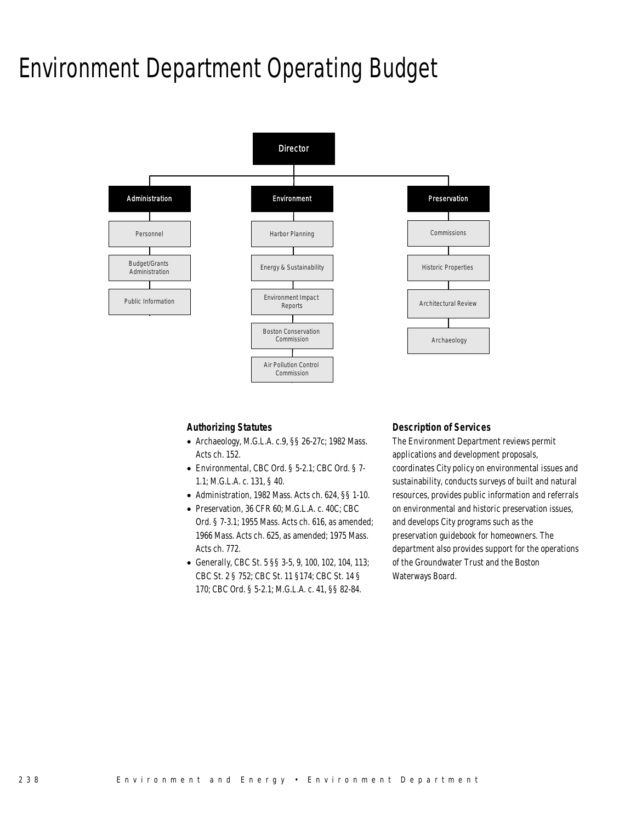## Environment Department Operating Budget



### *Authorizing Statutes*

- Archaeology, M.G.L.A. c.9, §§ 26-27c; 1982 Mass. Acts ch. 152.
- Environmental, CBC Ord. § 5-2.1; CBC Ord. § 7- 1.1; M.G.L.A. c. 131, § 40.
- Administration, 1982 Mass. Acts ch. 624, §§ 1-10.
- Preservation, 36 CFR 60; M.G.L.A. c. 40C; CBC Ord. § 7-3.1; 1955 Mass. Acts ch. 616, as amended; 1966 Mass. Acts ch. 625, as amended; 1975 Mass. Acts ch. 772.
- Generally, CBC St. 5 §§ 3-5, 9, 100, 102, 104, 113; CBC St. 2 § 752; CBC St. 11 §174; CBC St. 14 § 170; CBC Ord. § 5-2.1; M.G.L.A. c. 41, §§ 82-84.

### *Description of Services*

The Environment Department reviews permit applications and development proposals, coordinates City policy on environmental issues and sustainability, conducts surveys of built and natural resources, provides public information and referrals on environmental and historic preservation issues, and develops City programs such as the preservation guidebook for homeowners. The department also provides support for the operations of the Groundwater Trust and the Boston Waterways Board.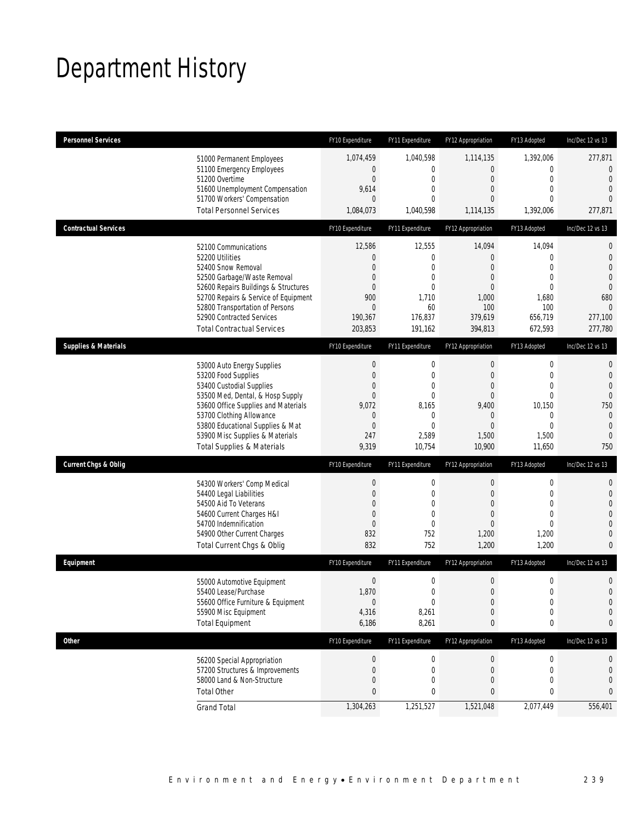## Department History

| <b>Personnel Services</b>             | FY10 Expenditure | FY11 Expenditure | FY12 Appropriation | FY13 Adopted     | Inc/Dec 12 vs 13 |
|---------------------------------------|------------------|------------------|--------------------|------------------|------------------|
| 51000 Permanent Employees             | 1,074,459        | 1,040,598        | 1,114,135          | 1,392,006        | 277,871          |
| 51100 Emergency Employees             | $\overline{0}$   | $\mathbf 0$      | $\overline{0}$     | $\overline{0}$   | $\mathbf{0}$     |
| 51200 Overtime                        | $\boldsymbol{0}$ | $\mathbf 0$      | $\mathbf 0$        | $\mathbf 0$      | $\mathbf{0}$     |
| 51600 Unemployment Compensation       | 9,614            | $\mathbf 0$      | $\theta$           | $\mathbf{0}$     | $\overline{0}$   |
| 51700 Workers' Compensation           | $\overline{0}$   | $\mathbf 0$      | $\theta$           | $\Omega$         | $\Omega$         |
| <b>Total Personnel Services</b>       | 1,084,073        | 1,040,598        | 1,114,135          | 1,392,006        | 277,871          |
| <b>Contractual Services</b>           | FY10 Expenditure | FY11 Expenditure | FY12 Appropriation | FY13 Adopted     | Inc/Dec 12 vs 13 |
| 52100 Communications                  | 12,586           | 12,555           | 14,094             | 14,094           | $\mathbf{0}$     |
| 52200 Utilities                       | 0                | 0                | $\theta$           | $\mathbf 0$      | $\mathbf 0$      |
| 52400 Snow Removal                    | 0                | $\mathbf{0}$     | $\theta$           | $\overline{0}$   | $\overline{0}$   |
| 52500 Garbage/Waste Removal           | 0                | $\mathbf 0$      | $\overline{0}$     | $\mathbf{0}$     | $\overline{0}$   |
| 52600 Repairs Buildings & Structures  | $\overline{0}$   | $\mathbf 0$      | $\theta$           | $\Omega$         | $\theta$         |
| 52700 Repairs & Service of Equipment  | 900              | 1,710            | 1,000              | 1,680            | 680              |
| 52800 Transportation of Persons       | 0                | 60               | 100                | 100              | $\mathbf{0}$     |
| 52900 Contracted Services             | 190,367          | 176,837          | 379,619            | 656,719          | 277,100          |
| <b>Total Contractual Services</b>     | 203,853          | 191,162          | 394,813            | 672,593          | 277,780          |
| <b>Supplies &amp; Materials</b>       | FY10 Expenditure | FY11 Expenditure | FY12 Appropriation | FY13 Adopted     | Inc/Dec 12 vs 13 |
| 53000 Auto Energy Supplies            | $\boldsymbol{0}$ | $\mathbf 0$      | $\mathbf 0$        | $\boldsymbol{0}$ | $\mathbf{0}$     |
| 53200 Food Supplies                   | $\boldsymbol{0}$ | $\mathbf 0$      | $\theta$           | $\mathbf 0$      | $\mathbf 0$      |
| 53400 Custodial Supplies              | 0                | $\mathbf 0$      | $\theta$           | $\mathbf{0}$     | $\overline{0}$   |
| 53500 Med, Dental, & Hosp Supply      | $\overline{0}$   | $\mathbf{0}$     | $\mathbf 0$        | $\overline{0}$   | $\overline{0}$   |
| 53600 Office Supplies and Materials   | 9,072            | 8,165            | 9,400              | 10,150           | 750              |
| 53700 Clothing Allowance              | 0                | $\mathbf 0$      | $\theta$           | 0                | $\mathbf{0}$     |
| 53800 Educational Supplies & Mat      | 0                | $\mathbf{0}$     | $\overline{0}$     | $\overline{0}$   | $\mathbf{0}$     |
| 53900 Misc Supplies & Materials       | 247              | 2,589            | 1,500              | 1,500            | $\mathbf{0}$     |
| <b>Total Supplies &amp; Materials</b> | 9,319            | 10,754           | 10,900             | 11,650           | 750              |
| <b>Current Chgs &amp; Oblig</b>       | FY10 Expenditure | FY11 Expenditure | FY12 Appropriation | FY13 Adopted     | Inc/Dec 12 vs 13 |
| 54300 Workers' Comp Medical           | $\boldsymbol{0}$ | $\mathbf 0$      | $\boldsymbol{0}$   | $\boldsymbol{0}$ | $\mathbf{0}$     |
| 54400 Legal Liabilities               | $\boldsymbol{0}$ | $\mathbf 0$      | $\mathbf 0$        | $\mathbf 0$      | $\mathbf 0$      |
| 54500 Aid To Veterans                 | 0                | $\mathbf{0}$     | $\theta$           | $\mathbf{0}$     | $\overline{0}$   |
| 54600 Current Charges H&I             | $\mathbf 0$      | $\mathbf 0$      | $\overline{0}$     | $\overline{0}$   | $\overline{0}$   |
| 54700 Indemnification                 | $\overline{0}$   | $\mathbf{0}$     | $\overline{0}$     | $\mathbf{0}$     | $\mathbf 0$      |
| 54900 Other Current Charges           | 832              | 752              | 1,200              | 1,200            | $\mathbf{0}$     |
| Total Current Chgs & Oblig            | 832              | 752              | 1,200              | 1,200            | $\overline{0}$   |
| Equipment                             | FY10 Expenditure | FY11 Expenditure | FY12 Appropriation | FY13 Adopted     | Inc/Dec 12 vs 13 |
| 55000 Automotive Equipment            | $\boldsymbol{0}$ | $\mathbf 0$      | $\boldsymbol{0}$   | $\boldsymbol{0}$ | $\mathbf 0$      |
| 55400 Lease/Purchase                  | 1,870            | 0                | $\overline{0}$     | $\overline{0}$   | $\overline{0}$   |
| 55600 Office Furniture & Equipment    | 0                | $\boldsymbol{0}$ | $\boldsymbol{0}$   | $\boldsymbol{0}$ | $\mathbf 0$      |
| 55900 Misc Equipment                  | 4,316            | 8,261            | $\theta$           | $\mathbf 0$      | $\mathbf 0$      |
| <b>Total Equipment</b>                | 6,186            | 8,261            | 0                  | 0                | 0                |
| <b>Other</b>                          | FY10 Expenditure | FY11 Expenditure | FY12 Appropriation | FY13 Adopted     | Inc/Dec 12 vs 13 |
| 56200 Special Appropriation           | $\boldsymbol{0}$ | 0                | $\theta$           | 0                | 0                |
| 57200 Structures & Improvements       | 0                | 0                | $\mathbf 0$        | 0                | 0                |
| 58000 Land & Non-Structure            | $\mathbf 0$      | $\mathbf 0$      | $\overline{0}$     | $\mathbf{0}$     | 0                |
| <b>Total Other</b>                    | 0                | 0                | $\bf{0}$           | 0                | 0                |
| <b>Grand Total</b>                    | 1,304,263        | 1,251,527        | 1,521,048          | 2,077,449        | 556,401          |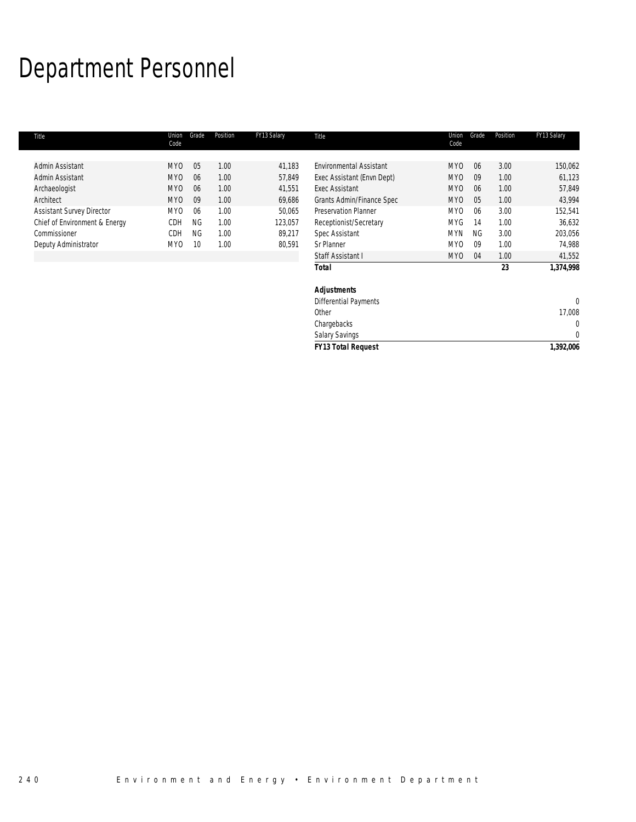## Department Personnel

| Title                            | Union<br>Code   | Grade           | Position | FY13 Salary | Title                          | Union<br>Code   | Grade     | Position | FY13 Salary |
|----------------------------------|-----------------|-----------------|----------|-------------|--------------------------------|-----------------|-----------|----------|-------------|
|                                  |                 |                 |          |             |                                |                 |           |          |             |
| Admin Assistant                  | MY <sub>0</sub> | 05              | 1.00     | 41,183      | <b>Environmental Assistant</b> | MY <sub>0</sub> | 06        | 3.00     | 150,062     |
| Admin Assistant                  | MY <sub>0</sub> | 06              | 1.00     | 57,849      | Exec Assistant (Envn Dept)     | MY <sub>0</sub> | 09        | 1.00     | 61,123      |
| Archaeologist                    | MY <sub>0</sub> | 06              | 1.00     | 41,551      | Exec Assistant                 | MY <sub>0</sub> | 06        | 1.00     | 57,849      |
| Architect                        | MY <sub>0</sub> | 09              | 1.00     | 69,686      | Grants Admin/Finance Spec      | MY <sub>0</sub> | 05        | 1.00     | 43,994      |
| <b>Assistant Survey Director</b> | MY <sub>0</sub> | 06              | 1.00     | 50,065      | <b>Preservation Planner</b>    | MY0             | 06        | 3.00     | 152,541     |
| Chief of Environment & Energy    | CDH             | <b>NG</b>       | 1.00     | 123,057     | Receptionist/Secretary         | <b>MYG</b>      | 14        | 1.00     | 36,632      |
| Commissioner                     | CDH             | <b>NG</b>       | 1.00     | 89,217      | Spec Assistant                 | <b>MYN</b>      | <b>NG</b> | 3.00     | 203,056     |
| Deputy Administrator             | MY <sub>0</sub> | 10 <sup>°</sup> | 1.00     | 80,591      | Sr Planner                     | MY0             | 09        | 1.00     | 74,988      |
|                                  |                 |                 |          |             | Staff Assistant I              | MY <sub>0</sub> | 04        | 1.00     | 41,552      |
|                                  |                 |                 |          |             | <b>Total</b>                   |                 |           | 23       | 1,374,998   |
|                                  |                 |                 |          |             | <b>Adjustments</b>             |                 |           |          |             |
|                                  |                 |                 |          |             | <b>Differential Payments</b>   |                 |           |          | 0           |
|                                  |                 |                 |          |             | Other                          |                 |           |          | 17,008      |

chargebacks and the contract of the contract of the contract of the contract of the contract of the contract of the contract of the contract of the contract of the contract of the contract of the contract of the contract o Salary Savings and the contract of the state of the state of the state of the state of the state of the state o

*FY13 Total Request 1,392,006*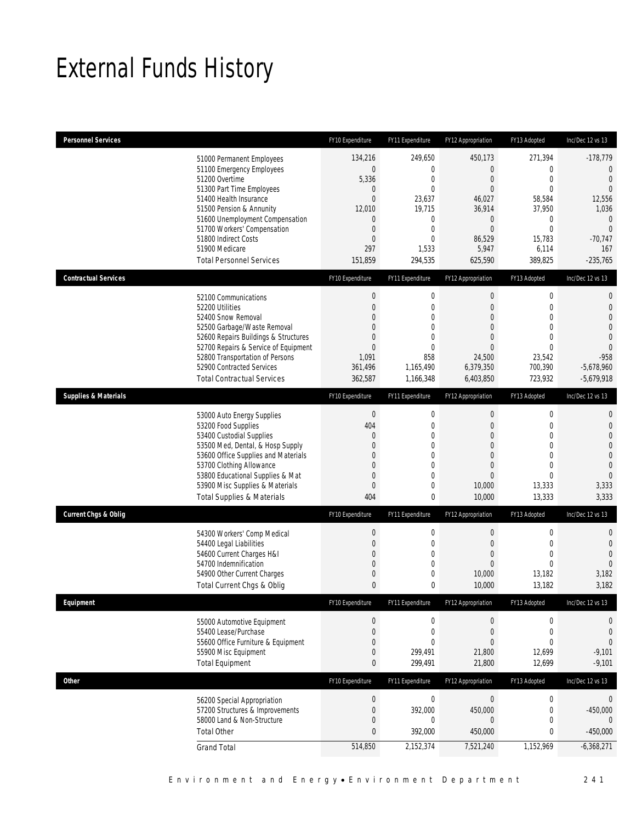## External Funds History

| <b>Personnel Services</b>       |                                                                                                                                                                                                                                                                                                            | FY10 Expenditure                                                                                                                | FY11 Expenditure                                                                                                                         | FY12 Appropriation                                                                                                                         | FY13 Adopted                                                                                                                       | Inc/Dec 12 vs 13                                                                                                                                   |
|---------------------------------|------------------------------------------------------------------------------------------------------------------------------------------------------------------------------------------------------------------------------------------------------------------------------------------------------------|---------------------------------------------------------------------------------------------------------------------------------|------------------------------------------------------------------------------------------------------------------------------------------|--------------------------------------------------------------------------------------------------------------------------------------------|------------------------------------------------------------------------------------------------------------------------------------|----------------------------------------------------------------------------------------------------------------------------------------------------|
|                                 | 51000 Permanent Employees<br>51100 Emergency Employees<br>51200 Overtime<br>51300 Part Time Employees<br>51400 Health Insurance<br>51500 Pension & Annunity<br>51600 Unemployment Compensation<br>51700 Workers' Compensation<br>51800 Indirect Costs<br>51900 Medicare<br><b>Total Personnel Services</b> | 134,216<br>$\mathbf 0$<br>5,336<br>0<br>$\mathbf{0}$<br>12,010<br>$\mathbf{0}$<br>$\mathbf 0$<br>$\mathbf{0}$<br>297<br>151,859 | 249,650<br>$\overline{0}$<br>$\mathbf 0$<br>$\overline{0}$<br>23,637<br>19,715<br>0<br>$\mathbf 0$<br>$\overline{0}$<br>1,533<br>294,535 | 450,173<br>$\overline{0}$<br>$\mathbf{0}$<br>$\mathbf{0}$<br>46,027<br>36,914<br>$\mathbf 0$<br>$\mathbf{0}$<br>86,529<br>5,947<br>625,590 | 271,394<br>$\mathbf 0$<br>$\boldsymbol{0}$<br>$\mathbf 0$<br>58,584<br>37,950<br>0<br>$\mathbf 0$<br>15,783<br>6,114<br>389,825    | $-178,779$<br>$\mathbf{0}$<br>$\mathbf{0}$<br>$\overline{0}$<br>12,556<br>1,036<br>$\mathbf 0$<br>$\overline{0}$<br>$-70,747$<br>167<br>$-235,765$ |
| <b>Contractual Services</b>     |                                                                                                                                                                                                                                                                                                            | FY10 Expenditure                                                                                                                | FY11 Expenditure                                                                                                                         | FY12 Appropriation                                                                                                                         | FY13 Adopted                                                                                                                       | Inc/Dec 12 vs 13                                                                                                                                   |
|                                 | 52100 Communications<br>52200 Utilities<br>52400 Snow Removal<br>52500 Garbage/Waste Removal<br>52600 Repairs Buildings & Structures<br>52700 Repairs & Service of Equipment<br>52800 Transportation of Persons<br>52900 Contracted Services<br><b>Total Contractual Services</b>                          | $\boldsymbol{0}$<br>$\boldsymbol{0}$<br>$\Omega$<br>0<br>$\Omega$<br>$\mathbf{0}$<br>1,091<br>361,496<br>362,587                | $\boldsymbol{0}$<br>$\mathbf 0$<br>$\Omega$<br>$\overline{0}$<br>0<br>$\mathbf{0}$<br>858<br>1,165,490<br>1,166,348                      | $\boldsymbol{0}$<br>$\overline{0}$<br>$\theta$<br>$\theta$<br>$\theta$<br>$\overline{0}$<br>24,500<br>6,379,350<br>6,403,850               | $\boldsymbol{0}$<br>$\mathbf 0$<br>$\mathbf{0}$<br>$\mathbf{0}$<br>$\mathbf{0}$<br>$\theta$<br>23,542<br>700,390<br>723,932        | $\mathbf 0$<br>$\mathbf 0$<br>$\overline{0}$<br>$\mathbf{0}$<br>$\mathbf 0$<br>$\overline{0}$<br>$-958$<br>$-5,678,960$<br>$-5,679,918$            |
| <b>Supplies &amp; Materials</b> |                                                                                                                                                                                                                                                                                                            | FY10 Expenditure                                                                                                                | FY11 Expenditure                                                                                                                         | FY12 Appropriation                                                                                                                         | FY13 Adopted                                                                                                                       | Inc/Dec 12 vs 13                                                                                                                                   |
|                                 | 53000 Auto Energy Supplies<br>53200 Food Supplies<br>53400 Custodial Supplies<br>53500 Med, Dental, & Hosp Supply<br>53600 Office Supplies and Materials<br>53700 Clothing Allowance<br>53800 Educational Supplies & Mat<br>53900 Misc Supplies & Materials<br><b>Total Supplies &amp; Materials</b>       | $\boldsymbol{0}$<br>404<br>$\mathbf{0}$<br>$\mathbf{0}$<br>$\Omega$<br>$\mathbf{0}$<br>$\mathbf 0$<br>$\mathbf 0$<br>404        | $\boldsymbol{0}$<br>$\mathbf 0$<br>0<br>$\mathbf 0$<br>0<br>$\overline{0}$<br>$\overline{0}$<br>0<br>0                                   | $\boldsymbol{0}$<br>$\theta$<br>$\theta$<br>$\overline{0}$<br>$\theta$<br>$\overline{0}$<br>$\overline{0}$<br>10,000<br>10,000             | $\boldsymbol{0}$<br>$\mathbf 0$<br>$\mathbf{0}$<br>$\mathbf{0}$<br>$\mathbf{0}$<br>$\mathbf{0}$<br>$\mathbf 0$<br>13,333<br>13,333 | $\mathbf{0}$<br>$\mathbf 0$<br>$\overline{0}$<br>$\overline{0}$<br>$\mathbf 0$<br>$\overline{0}$<br>$\overline{0}$<br>3,333<br>3,333               |
| <b>Current Chgs &amp; Oblig</b> |                                                                                                                                                                                                                                                                                                            | FY10 Expenditure                                                                                                                | FY11 Expenditure                                                                                                                         | FY12 Appropriation                                                                                                                         | FY13 Adopted                                                                                                                       | Inc/Dec 12 vs 13                                                                                                                                   |
|                                 | 54300 Workers' Comp Medical<br>54400 Legal Liabilities<br>54600 Current Charges H&I<br>54700 Indemnification<br>54900 Other Current Charges<br>Total Current Chgs & Oblig                                                                                                                                  | $\boldsymbol{0}$<br>0<br>$\mathbf{0}$<br>$\mathbf 0$<br>$\mathbf 0$<br>$\mathbf 0$                                              | $\boldsymbol{0}$<br>$\mathbf 0$<br>0<br>$\mathbf 0$<br>0<br>0                                                                            | $\boldsymbol{0}$<br>$\mathbf 0$<br>$\theta$<br>$\mathbf{0}$<br>10,000<br>10,000                                                            | $\boldsymbol{0}$<br>$\mathbf 0$<br>$\mathbf{0}$<br>$\mathbf 0$<br>13,182<br>13,182                                                 | $\mathbf{0}$<br>$\mathbf 0$<br>$\overline{0}$<br>$\overline{0}$<br>3,182<br>3,182                                                                  |
| Equipment                       |                                                                                                                                                                                                                                                                                                            | FY10 Expenditure                                                                                                                | FY11 Expenditure                                                                                                                         | FY12 Appropriation                                                                                                                         | FY13 Adopted                                                                                                                       | Inc/Dec 12 vs 13                                                                                                                                   |
|                                 | 55000 Automotive Equipment<br>55400 Lease/Purchase<br>55600 Office Furniture & Equipment<br>55900 Misc Equipment<br><b>Total Equipment</b>                                                                                                                                                                 | 0<br>$\mathbf 0$<br>0<br>0<br>0                                                                                                 | $\boldsymbol{0}$<br>$\mathbf 0$<br>0<br>299,491<br>299,491                                                                               | $\boldsymbol{0}$<br>$\mathbf 0$<br>$\theta$<br>21,800<br>21,800                                                                            | $\boldsymbol{0}$<br>$\boldsymbol{0}$<br>0<br>12,699<br>12,699                                                                      | 0<br>$\mathbf{0}$<br>$\mathbf 0$<br>$-9,101$<br>$-9,101$                                                                                           |
| Other                           |                                                                                                                                                                                                                                                                                                            | FY10 Expenditure                                                                                                                | FY11 Expenditure                                                                                                                         | FY12 Appropriation                                                                                                                         | FY13 Adopted                                                                                                                       | Inc/Dec 12 vs 13                                                                                                                                   |
|                                 | 56200 Special Appropriation<br>57200 Structures & Improvements<br>58000 Land & Non-Structure<br><b>Total Other</b>                                                                                                                                                                                         | $\boldsymbol{0}$<br>$\mathbf 0$<br>0<br>$\mathbf 0$                                                                             | $\boldsymbol{0}$<br>392,000<br>0<br>392,000                                                                                              | $\boldsymbol{0}$<br>450,000<br>$\boldsymbol{0}$<br>450,000                                                                                 | $\boldsymbol{0}$<br>$\boldsymbol{0}$<br>0<br>$\pmb{0}$                                                                             | 0<br>$-450,000$<br>0<br>$-450,000$                                                                                                                 |
|                                 | <b>Grand Total</b>                                                                                                                                                                                                                                                                                         | 514,850                                                                                                                         | 2,152,374                                                                                                                                | 7,521,240                                                                                                                                  | 1,152,969                                                                                                                          | $-6,368,271$                                                                                                                                       |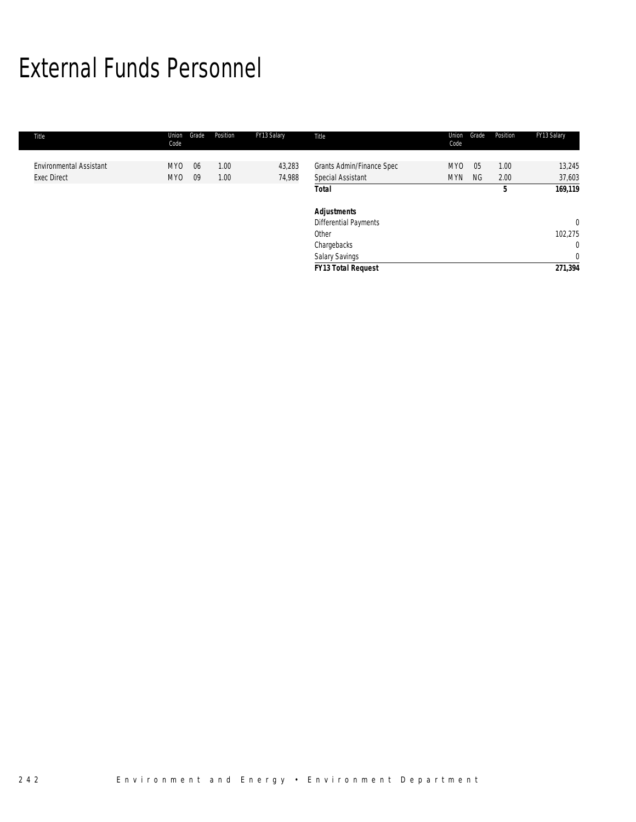## External Funds Personnel

| Title                          | Union<br>Code   | Grade | Position | FY13 Salary | Title                     | Union<br>Code | Grade     | Position | FY13 Salary    |
|--------------------------------|-----------------|-------|----------|-------------|---------------------------|---------------|-----------|----------|----------------|
|                                |                 |       |          |             |                           |               |           |          |                |
| <b>Environmental Assistant</b> | MY <sub>0</sub> | 06    | 1.00     | 43,283      | Grants Admin/Finance Spec | <b>MYO</b>    | 05        | 1.00     | 13,245         |
| <b>Exec Direct</b>             | MY0             | 09    | 1.00     | 74,988      | Special Assistant         | <b>MYN</b>    | <b>NG</b> | 2.00     | 37,603         |
|                                |                 |       |          |             | <b>Total</b>              |               |           | 5        | 169,119        |
|                                |                 |       |          |             | <b>Adjustments</b>        |               |           |          |                |
|                                |                 |       |          |             | Differential Payments     |               |           |          | $\overline{0}$ |
|                                |                 |       |          |             | Other                     |               |           |          | 102,275        |
|                                |                 |       |          |             | Chargebacks               |               |           |          | $\mathbf{0}$   |
|                                |                 |       |          |             | <b>Salary Savings</b>     |               |           |          | $\mathbf{0}$   |
|                                |                 |       |          |             | <b>FY13 Total Request</b> |               |           |          | 271,394        |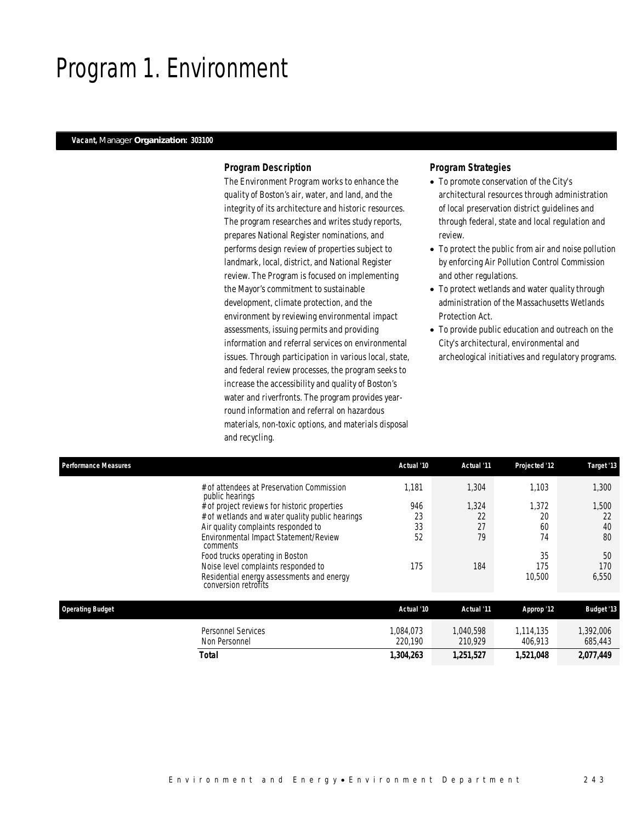## Program 1. Environment

### *Vacant, Manager Organization: 303100*

### *Program Description*

The Environment Program works to enhance the quality of Boston's air, water, and land, and the integrity of its architecture and historic resources. The program researches and writes study reports, prepares National Register nominations, and performs design review of properties subject to landmark, local, district, and National Register review. The Program is focused on implementing the Mayor's commitment to sustainable development, climate protection, and the environment by reviewing environmental impact assessments, issuing permits and providing information and referral services on environmental issues. Through participation in various local, state, and federal review processes, the program seeks to increase the accessibility and quality of Boston's water and riverfronts. The program provides yearround information and referral on hazardous materials, non-toxic options, and materials disposal and recycling.

## *Program Strategies*

- To promote conservation of the City's architectural resources through administration of local preservation district guidelines and through federal, state and local regulation and review.
- To protect the public from air and noise pollution by enforcing Air Pollution Control Commission and other regulations.
- To protect wetlands and water quality through administration of the Massachusetts Wetlands Protection Act.
- To provide public education and outreach on the City's architectural, environmental and archeological initiatives and regulatory programs.

| <b>Performance Measures</b>                | Actual '10                                                                                                                                                                                               | Actual '11              | Projected '12           | Target '13              |
|--------------------------------------------|----------------------------------------------------------------------------------------------------------------------------------------------------------------------------------------------------------|-------------------------|-------------------------|-------------------------|
| public hearings                            | 1.181<br># of attendees at Preservation Commission                                                                                                                                                       | 1,304                   | 1.103                   | 1,300                   |
| comments                                   | 946<br># of project reviews for historic properties<br>23<br># of wetlands and water quality public hearings<br>33<br>Air quality complaints responded to<br>Environmental Impact Statement/Review<br>52 | 1,324<br>22<br>27<br>79 | 1,372<br>20<br>60<br>74 | 1,500<br>22<br>40<br>80 |
| conversion retrofits                       | Food trucks operating in Boston<br>175<br>Noise level complaints responded to<br>Residential energy assessments and energy                                                                               | 184                     | 35<br>175<br>10,500     | 50<br>170<br>6,550      |
| <b>Operating Budget</b>                    | Actual '10                                                                                                                                                                                               | Actual '11              | Approp '12              | <b>Budget '13</b>       |
| <b>Personnel Services</b><br>Non Personnel | 1.084.073<br>220.190                                                                                                                                                                                     | 1,040,598<br>210.929    | 1,114,135<br>406,913    | 1,392,006<br>685,443    |
| <b>Total</b>                               | 1,304,263                                                                                                                                                                                                | 1,251,527               | 1,521,048               | 2,077,449               |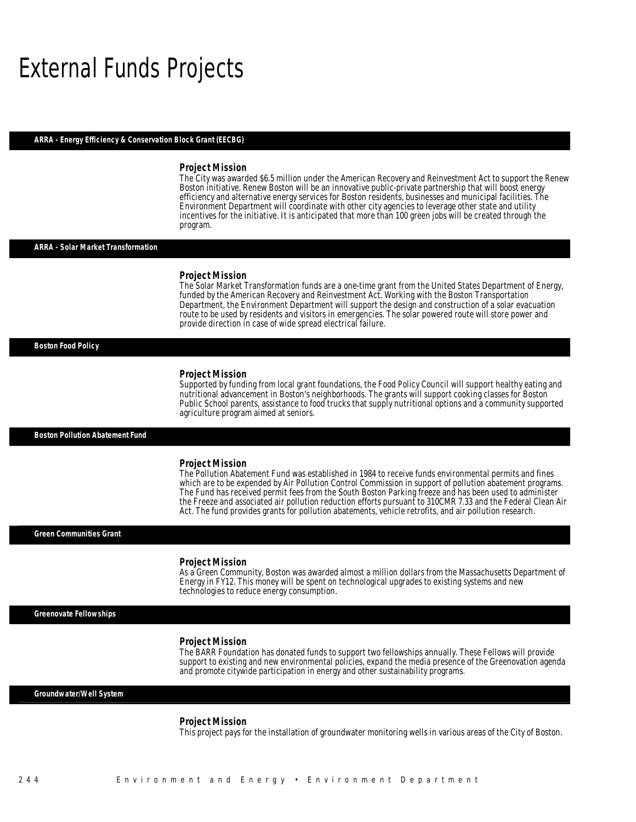## External Funds Projects

#### *ARRA - Energy Efficiency & Conservation Block Grant (EECBG)*

#### *Project Mission*

The City was awarded \$6.5 million under the American Recovery and Reinvestment Act to support the Renew Boston initiative. Renew Boston will be an innovative public-private partnership that will boost energy efficiency and alternative energy services for Boston residents, businesses and municipal facilities. The Environment Department will coordinate with other city agencies to leverage other state and utility incentives for the initiative. It is anticipated that more than 100 green jobs will be created through the program.

#### *ARRA - Solar Market Transformation*

#### *Project Mission*

Î

The Solar Market Transformation funds are a one-time grant from the United States Department of Energy, funded by the American Recovery and Reinvestment Act. Working with the Boston Transportation Department, the Environment Department will support the design and construction of a solar evacuation route to be used by residents and visitors in emergencies. The solar powered route will store power and provide direction in case of wide spread electrical failure. Î

#### *Boston Food Policy*

#### *Project Mission*

Supported by funding from local grant foundations, the Food Policy Council will support healthy eating and nutritional advancement in Boston's neighborhoods. The grants will support cooking classes for Boston Public School parents, assistance to food trucks that supply nutritional options and a community supported agriculture program aimed at seniors.

#### *Boston Pollution Abatement Fund*

#### *Project Mission*

The Pollution Abatement Fund was established in 1984 to receive funds environmental permits and fines which are to be expended by Air Pollution Control Commission in support of pollution abatement programs. The Fund has received permit fees from the South Boston Parking freeze and has been used to administer the Freeze and associated air pollution reduction efforts pursuant to 310CMR 7.33 and the Federal Clean Air Act. The fund provides grants for pollution abatements, vehicle retrofits, and air pollution research.

#### *Green Communities Grant*

#### *Project Mission*

As a Green Community, Boston was awarded almost a million dollars from the Massachusetts Department of Energy in FY12. This money will be spent on technological upgrades to existing systems and new technologies to reduce energy consumption.

*Greenovate Fellowships* 

#### *Project Mission*

The BARR Foundation has donated funds to support two fellowships annually. These Fellows will provide support to existing and new environmental policies, expand the media presence of the Greenovation agenda and promote citywide participation in energy and other sustainability programs.

#### *Groundwater/Well System*

#### *Project Mission*

This project pays for the installation of groundwater monitoring wells in various areas of the City of Boston.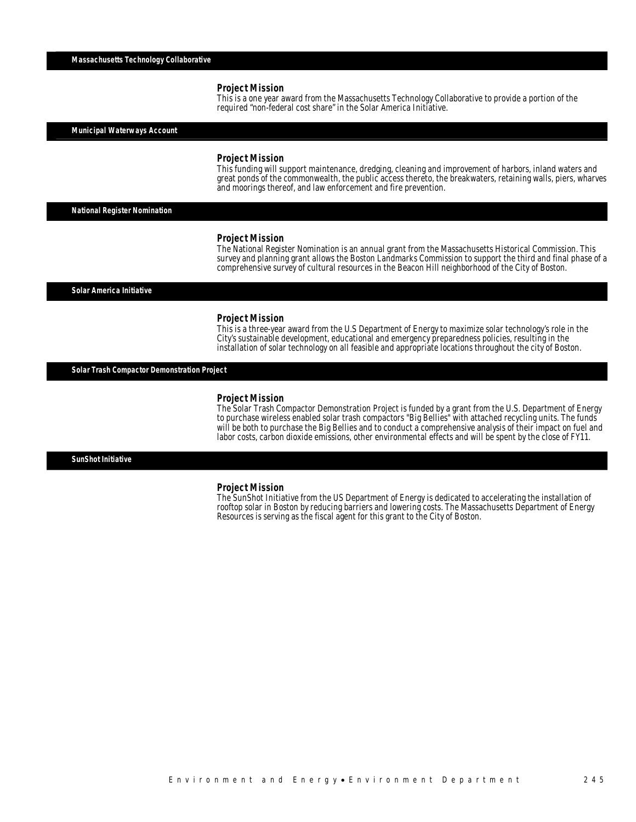#### *Project Mission*

This is a one year award from the Massachusetts Technology Collaborative to provide a portion of the required "non-federal cost share" in the Solar America Initiative.

*Municipal Waterways Account* 

#### *Project Mission*

This funding will support maintenance, dredging, cleaning and improvement of harbors, inland waters and great ponds of the commonwealth, the public access thereto, the breakwaters, retaining walls, piers, wharves and moorings thereof, and law enforcement and fire prevention.

*National Register Nomination* 

#### *Project Mission*

The National Register Nomination is an annual grant from the Massachusetts Historical Commission. This survey and planning grant allows the Boston Landmarks Commission to support the third and final phase of a comprehensive survey of cultural resources in the Beacon Hill neighborhood of the City of Boston.

*Solar America Initiative* 

#### *Project Mission*

This is a three-year award from the U.S Department of Energy to maximize solar technology's role in the City's sustainable development, educational and emergency preparedness policies, resulting in the installation of solar technology on all feasible and appropriate locations throughout the city of Boston.

*Solar Trash Compactor Demonstration Project* 

#### *Project Mission*

The Solar Trash Compactor Demonstration Project is funded by a grant from the U.S. Department of Energy to purchase wireless enabled solar trash compactors "Big Bellies" with attached recycling units. The funds will be both to purchase the Big Bellies and to conduct a comprehensive analysis of their impact on fuel and labor costs, carbon dioxide emissions, other environmental effects and will be spent by the close of FY11. 

*SunShot Initiative* 

#### *Project Mission*

The SunShot Initiative from the US Department of Energy is dedicated to accelerating the installation of rooftop solar in Boston by reducing barriers and lowering costs. The Massachusetts Department of Energy Resources is serving as the fiscal agent for this grant to the City of Boston.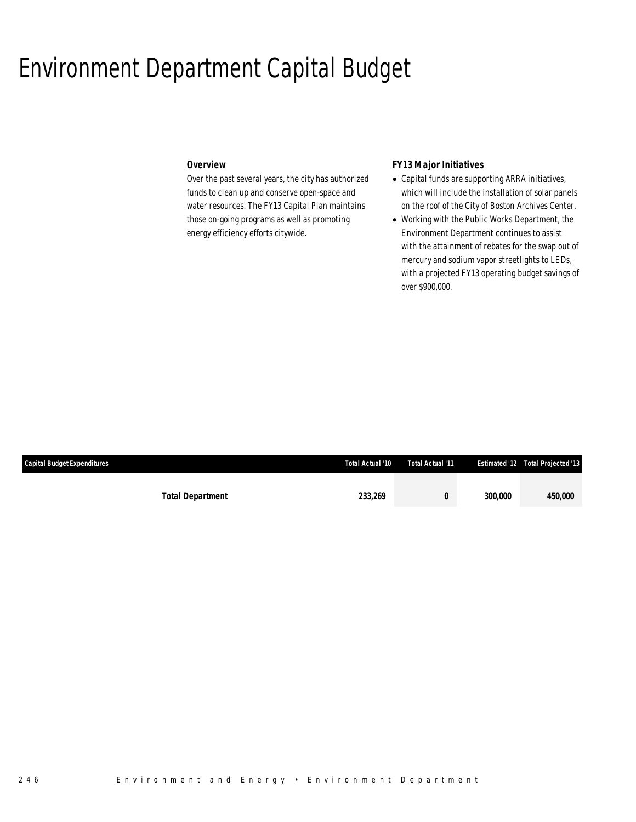## Environment Department Capital Budget

## *Overview*

Over the past several years, the city has authorized funds to clean up and conserve open-space and water resources. The FY13 Capital Plan maintains those on-going programs as well as promoting energy efficiency efforts citywide.

## *FY13 Major Initiatives*

- Capital funds are supporting ARRA initiatives, which will include the installation of solar panels on the roof of the City of Boston Archives Center.
- Working with the Public Works Department, the Environment Department continues to assist with the attainment of rebates for the swap out of mercury and sodium vapor streetlights to LEDs, with a projected FY13 operating budget savings of over \$900,000.

| <b>Capital Budget Expenditures</b> | Total Actual '10 | Total Actual '11 |                       | <b>Estimated '12 Total Projected '13</b> |
|------------------------------------|------------------|------------------|-----------------------|------------------------------------------|
|                                    |                  |                  |                       |                                          |
| <b>Total Department</b>            | 233.269          |                  | <i><b>300.000</b></i> | 450.000                                  |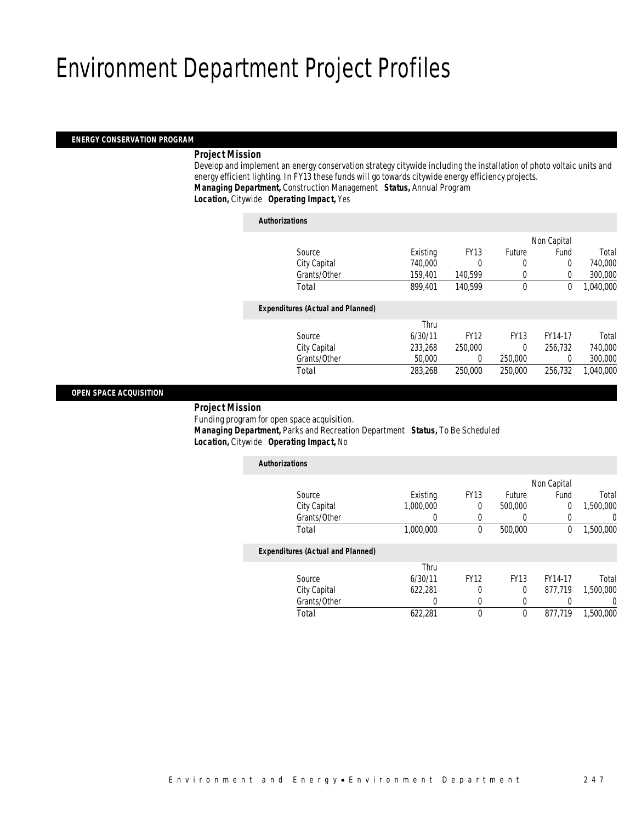## Environment Department Project Profiles

## *ENERGY CONSERVATION PROGRAM*

### *Project Mission*

 Develop and implement an energy conservation strategy citywide including the installation of photo voltaic units and energy efficient lighting. In FY13 these funds will go towards citywide energy efficiency projects. *Managing Department,* Construction Management *Status,* Annual Program

*Location,* Citywide *Operating Impact,* Yes

| <b>Authorizations</b>                    |          |             |               |             |           |
|------------------------------------------|----------|-------------|---------------|-------------|-----------|
|                                          |          |             |               | Non Capital |           |
| Source                                   | Existing | <b>FY13</b> | <b>Future</b> | Fund        | Total     |
| City Capital                             | 740,000  |             | 0             | 0           | 740,000   |
| Grants/Other                             | 159,401  | 140,599     | $\left($      | 0           | 300,000   |
| Total                                    | 899.401  | 140.599     | 0             | 0           | 1.040.000 |
| <b>Expenditures (Actual and Planned)</b> |          |             |               |             |           |
|                                          | Thru     |             |               |             |           |
| Source                                   | 6/30/11  | <b>FY12</b> | <b>FY13</b>   | FY14-17     | Total     |
| City Capital                             | 233,268  | 250,000     | $\theta$      | 256.732     | 740,000   |
| Grants/Other                             | 50,000   | 0           | 250,000       | 0           | 300,000   |
| Total                                    | 283.268  | 250,000     | 250,000       | 256.732     | 1,040,000 |
|                                          |          |             |               |             |           |

### *OPEN SPACE ACQUISITION*

*Project Mission*

Funding program for open space acquisition.

 *Managing Department,* Parks and Recreation Department *Status,* To Be Scheduled*Location,* Citywide *Operating Impact,* No

| <b>Authorizations</b>                    |           |             |             |             |                |
|------------------------------------------|-----------|-------------|-------------|-------------|----------------|
|                                          |           |             |             | Non Capital |                |
| Source                                   | Existing  | <b>FY13</b> | Future      | Fund        | Total          |
| City Capital                             | 1,000,000 | 0           | 500,000     | 0           | 1,500,000      |
| Grants/Other                             |           | 0           |             |             | $\overline{0}$ |
| Total                                    | 1,000,000 | 0           | 500,000     | $\Omega$    | 1,500,000      |
| <b>Expenditures (Actual and Planned)</b> |           |             |             |             |                |
|                                          | Thru      |             |             |             |                |
| Source                                   | 6/30/11   | <b>FY12</b> | <b>FY13</b> | FY14-17     | Total          |
| City Capital                             | 622,281   | 0           | 0           | 877.719     | 1,500,000      |
| Grants/Other                             | 0         | 0           | 0           |             | $\Omega$       |
| Total                                    | 622.281   | $\Omega$    | $\mathbf 0$ | 877.719     | 1,500,000      |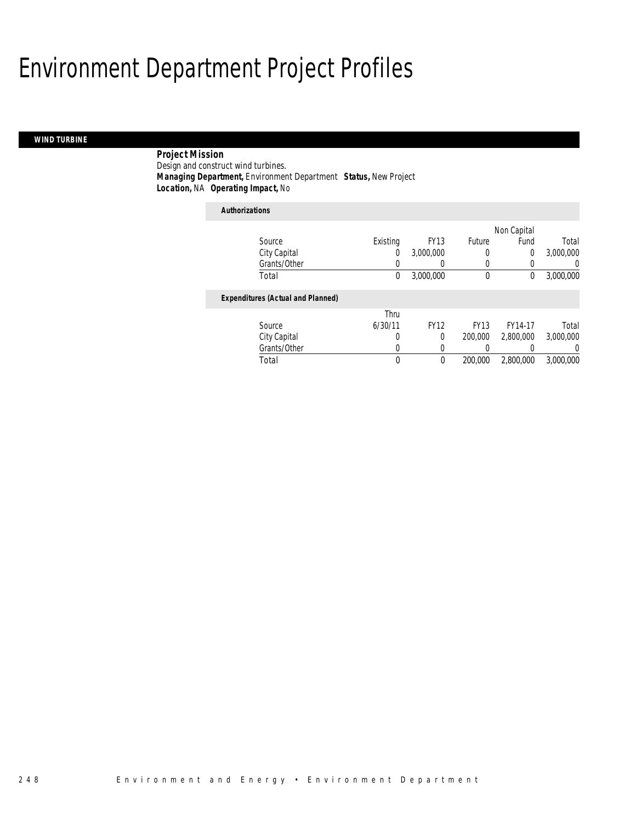## Environment Department Project Profiles

## *WIND TURBINE*

 *Project Mission* Design and construct wind turbines. *Managing Department,* Environment Department *Status,* New Project*Location,* NA *Operating Impact,* No

## *Authorizations*

|                                          |          |             |             | Non Capital    |           |
|------------------------------------------|----------|-------------|-------------|----------------|-----------|
| Source                                   | Existing | <b>FY13</b> | Future      | Fund           | Total     |
| City Capital                             | 0        | 3,000,000   | 0           | $\overline{0}$ | 3,000,000 |
| Grants/Other                             | 0        |             | 0           |                | 0         |
| Total                                    | 0        | 3,000,000   | 0           | 0              | 3,000,000 |
| <b>Expenditures (Actual and Planned)</b> |          |             |             |                |           |
|                                          | Thru     |             |             |                |           |
| Source                                   | 6/30/11  | <b>FY12</b> | <b>FY13</b> | FY14-17        | Total     |
| City Capital                             | 0        | $\Omega$    | 200,000     | 2,800,000      | 3.000.000 |
| Grants/Other                             | 0        | 0           |             |                | $\Omega$  |
| Total                                    | 0        | 0           | 200,000     | 2,800,000      | 3,000,000 |
|                                          |          |             |             |                |           |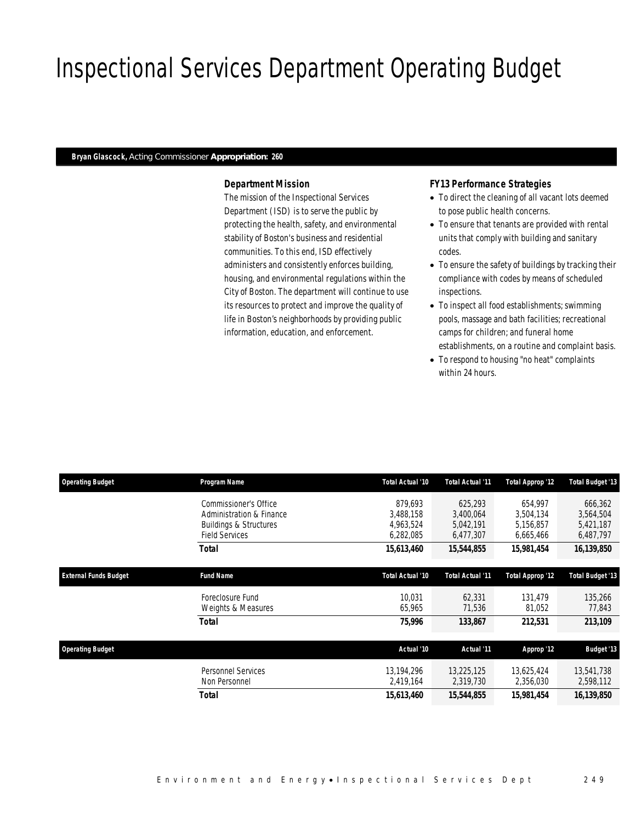## Inspectional Services Department Operating Budget

### *Bryan Glascock, Acting Commissioner Appropriation: 260*

## *Department Mission*

The mission of the Inspectional Services Department (ISD) is to serve the public by protecting the health, safety, and environmental stability of Boston's business and residential communities. To this end, ISD effectively administers and consistently enforces building, housing, and environmental regulations within the City of Boston. The department will continue to use its resources to protect and improve the quality of life in Boston's neighborhoods by providing public information, education, and enforcement.

### *FY13 Performance Strategies*

- To direct the cleaning of all vacant lots deemed to pose public health concerns.
- To ensure that tenants are provided with rental units that comply with building and sanitary codes.
- To ensure the safety of buildings by tracking their compliance with codes by means of scheduled inspections.
- To inspect all food establishments; swimming pools, massage and bath facilities; recreational camps for children; and funeral home
- establishments, on a routine and complaint basis.
- To respond to housing "no heat" complaints within 24 hours.

| <b>Operating Budget</b>      | Program Name                                                                                                    | Total Actual '10                               | Total Actual '11                               | <b>Total Approp '12</b>                        | <b>Total Budget '13</b>                        |
|------------------------------|-----------------------------------------------------------------------------------------------------------------|------------------------------------------------|------------------------------------------------|------------------------------------------------|------------------------------------------------|
|                              | Commissioner's Office<br>Administration & Finance<br><b>Buildings &amp; Structures</b><br><b>Field Services</b> | 879.693<br>3,488,158<br>4,963,524<br>6,282,085 | 625,293<br>3,400,064<br>5,042,191<br>6,477,307 | 654.997<br>3.504.134<br>5,156,857<br>6,665,466 | 666,362<br>3,564,504<br>5,421,187<br>6,487,797 |
|                              | Total                                                                                                           | 15,613,460                                     | 15,544,855                                     | 15,981,454                                     | 16,139,850                                     |
| <b>External Funds Budget</b> | <b>Fund Name</b>                                                                                                | Total Actual '10                               | Total Actual '11                               | Total Approp '12                               | <b>Total Budget '13</b>                        |
|                              | Foreclosure Fund<br>Weights & Measures                                                                          | 10.031<br>65,965                               | 62,331<br>71,536                               | 131,479<br>81,052                              | 135,266<br>77,843                              |
|                              | Total                                                                                                           | 75,996                                         | 133,867                                        | 212,531                                        | 213,109                                        |
| <b>Operating Budget</b>      |                                                                                                                 | Actual '10                                     | Actual '11                                     | Approp '12                                     | <b>Budget '13</b>                              |
|                              | <b>Personnel Services</b><br>Non Personnel                                                                      | 13,194,296<br>2,419,164                        | 13,225,125<br>2,319,730                        | 13,625,424<br>2,356,030                        | 13,541,738<br>2,598,112                        |
|                              | <b>Total</b>                                                                                                    | 15,613,460                                     | 15,544,855                                     | 15,981,454                                     | 16,139,850                                     |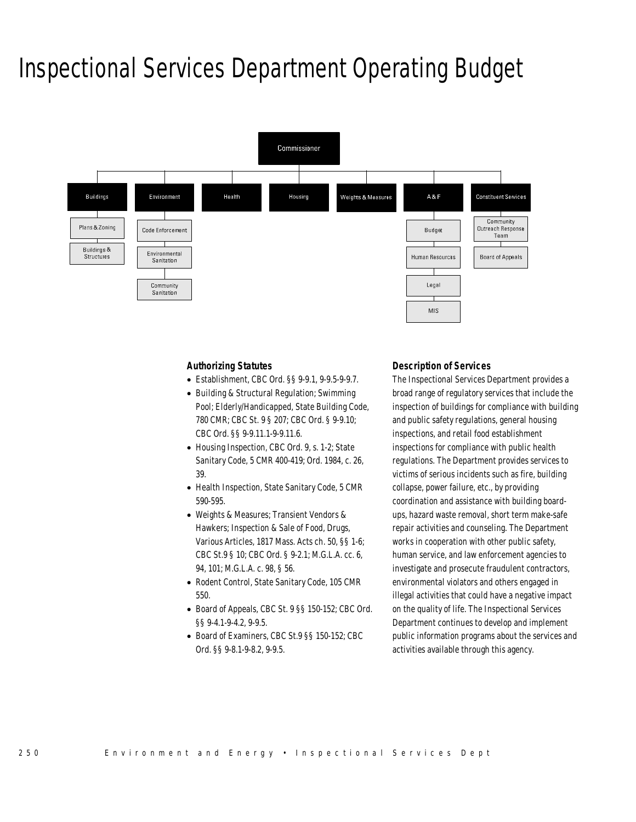## Inspectional Services Department Operating Budget



### *Authorizing Statutes*

- Establishment, CBC Ord. §§ 9-9.1, 9-9.5-9-9.7.
- Building & Structural Regulation; Swimming Pool; Elderly/Handicapped, State Building Code, 780 CMR; CBC St. 9 § 207; CBC Ord. § 9-9.10; CBC Ord. §§ 9-9.11.1-9-9.11.6.
- Housing Inspection, CBC Ord. 9, s. 1-2; State Sanitary Code, 5 CMR 400-419; Ord. 1984, c. 26, 39.
- Health Inspection, State Sanitary Code, 5 CMR 590-595.
- Weights & Measures; Transient Vendors & Hawkers; Inspection & Sale of Food, Drugs, Various Articles, 1817 Mass. Acts ch. 50, §§ 1-6; CBC St.9 § 10; CBC Ord. § 9-2.1; M.G.L.A. cc. 6, 94, 101; M.G.L.A. c. 98, § 56.
- Rodent Control, State Sanitary Code, 105 CMR 550.
- Board of Appeals, CBC St. 9 §§ 150-152; CBC Ord. §§ 9-4.1-9-4.2, 9-9.5.
- Board of Examiners, CBC St.9 §§ 150-152; CBC Ord. §§ 9-8.1-9-8.2, 9-9.5.

#### *Description of Services*

The Inspectional Services Department provides a broad range of regulatory services that include the inspection of buildings for compliance with building and public safety regulations, general housing inspections, and retail food establishment inspections for compliance with public health regulations. The Department provides services to victims of serious incidents such as fire, building collapse, power failure, etc., by providing coordination and assistance with building boardups, hazard waste removal, short term make-safe repair activities and counseling. The Department works in cooperation with other public safety, human service, and law enforcement agencies to investigate and prosecute fraudulent contractors, environmental violators and others engaged in illegal activities that could have a negative impact on the quality of life. The Inspectional Services Department continues to develop and implement public information programs about the services and activities available through this agency.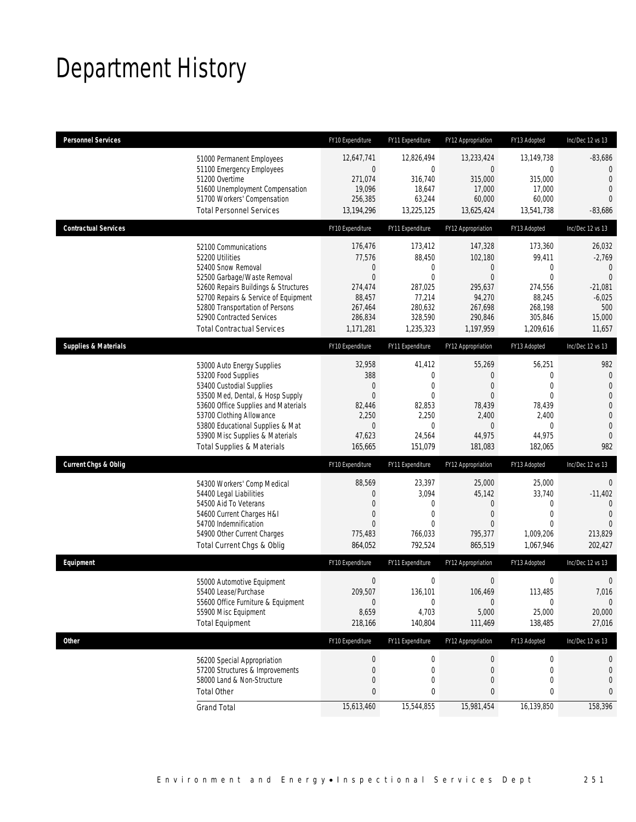## Department History

| <b>Personnel Services</b>                                                                                                                                                                                                                                                                            | FY10 Expenditure                                                                                 | FY11 Expenditure                                                                                     | FY12 Appropriation                                                                                         | FY13 Adopted                                                                                   | Inc/Dec 12 vs 13                                                                                                           |
|------------------------------------------------------------------------------------------------------------------------------------------------------------------------------------------------------------------------------------------------------------------------------------------------------|--------------------------------------------------------------------------------------------------|------------------------------------------------------------------------------------------------------|------------------------------------------------------------------------------------------------------------|------------------------------------------------------------------------------------------------|----------------------------------------------------------------------------------------------------------------------------|
| 51000 Permanent Employees<br>51100 Emergency Employees<br>51200 Overtime<br>51600 Unemployment Compensation<br>51700 Workers' Compensation<br><b>Total Personnel Services</b>                                                                                                                        | 12,647,741<br>$\overline{0}$<br>271,074<br>19,096<br>256,385<br>13,194,296                       | 12,826,494<br>0<br>316,740<br>18,647<br>63,244<br>13,225,125                                         | 13,233,424<br>$\overline{0}$<br>315,000<br>17,000<br>60,000<br>13,625,424                                  | 13,149,738<br>$\mathbf 0$<br>315,000<br>17,000<br>60,000<br>13,541,738                         | $-83,686$<br>$\mathbf{0}$<br>$\mathbf{0}$<br>$\overline{0}$<br>$\Omega$<br>$-83,686$                                       |
| <b>Contractual Services</b>                                                                                                                                                                                                                                                                          | FY10 Expenditure                                                                                 | FY11 Expenditure                                                                                     | FY12 Appropriation                                                                                         | FY13 Adopted                                                                                   | Inc/Dec 12 vs 13                                                                                                           |
| 52100 Communications<br>52200 Utilities<br>52400 Snow Removal<br>52500 Garbage/Waste Removal<br>52600 Repairs Buildings & Structures<br>52700 Repairs & Service of Equipment<br>52800 Transportation of Persons<br>52900 Contracted Services<br><b>Total Contractual Services</b>                    | 176,476<br>77,576<br>0<br>$\overline{0}$<br>274,474<br>88,457<br>267,464<br>286,834<br>1,171,281 | 173,412<br>88,450<br>0<br>$\overline{0}$<br>287,025<br>77,214<br>280,632<br>328,590<br>1,235,323     | 147,328<br>102,180<br>$\theta$<br>$\overline{0}$<br>295,637<br>94,270<br>267,698<br>290,846<br>1,197,959   | 173,360<br>99,411<br>0<br>$\mathbf{0}$<br>274,556<br>88,245<br>268,198<br>305,846<br>1,209,616 | 26,032<br>$-2,769$<br>$\mathbf{0}$<br>$\overline{0}$<br>$-21,081$<br>$-6,025$<br>500<br>15,000<br>11,657                   |
| <b>Supplies &amp; Materials</b>                                                                                                                                                                                                                                                                      | FY10 Expenditure                                                                                 | FY11 Expenditure                                                                                     | FY12 Appropriation                                                                                         | FY13 Adopted                                                                                   | Inc/Dec 12 vs 13                                                                                                           |
| 53000 Auto Energy Supplies<br>53200 Food Supplies<br>53400 Custodial Supplies<br>53500 Med, Dental, & Hosp Supply<br>53600 Office Supplies and Materials<br>53700 Clothing Allowance<br>53800 Educational Supplies & Mat<br>53900 Misc Supplies & Materials<br><b>Total Supplies &amp; Materials</b> | 32,958<br>388<br>0<br>$\overline{0}$<br>82,446<br>2,250<br>0<br>47,623<br>165,665                | 41,412<br>$\mathbf 0$<br>0<br>$\overline{0}$<br>82.853<br>2,250<br>$\mathbf{0}$<br>24,564<br>151,079 | 55,269<br>$\theta$<br>$\theta$<br>$\overline{0}$<br>78,439<br>2,400<br>$\overline{0}$<br>44,975<br>181,083 | 56,251<br>0<br>$\mathbf{0}$<br>$\mathbf{0}$<br>78,439<br>2,400<br>0<br>44,975<br>182,065       | 982<br>$\mathbf 0$<br>$\mathbf{0}$<br>$\overline{0}$<br>$\mathbf 0$<br>$\mathbf{0}$<br>$\mathbf{0}$<br>$\mathbf{0}$<br>982 |
| <b>Current Chgs &amp; Oblig</b>                                                                                                                                                                                                                                                                      | FY10 Expenditure                                                                                 | FY11 Expenditure                                                                                     | FY12 Appropriation                                                                                         | FY13 Adopted                                                                                   | Inc/Dec 12 vs 13                                                                                                           |
| 54300 Workers' Comp Medical<br>54400 Legal Liabilities<br>54500 Aid To Veterans<br>54600 Current Charges H&I<br>54700 Indemnification<br>54900 Other Current Charges<br>Total Current Chgs & Oblig                                                                                                   | 88,569<br>0<br>0<br>0<br>$\Omega$<br>775,483<br>864,052                                          | 23,397<br>3,094<br>0<br>0<br>$\Omega$<br>766,033<br>792,524                                          | 25,000<br>45,142<br>$\theta$<br>$\theta$<br>$\Omega$<br>795,377<br>865,519                                 | 25,000<br>33,740<br>$\mathbf 0$<br>$\mathbf 0$<br>$\Omega$<br>1,009,206<br>1,067,946           | $\mathbf 0$<br>$-11,402$<br>$\mathbf{0}$<br>$\Omega$<br>$\Omega$<br>213,829<br>202,427                                     |
| Equipment                                                                                                                                                                                                                                                                                            | FY10 Expenditure                                                                                 | FY11 Expenditure                                                                                     | FY12 Appropriation                                                                                         | FY13 Adopted                                                                                   | Inc/Dec 12 vs 13                                                                                                           |
| 55000 Automotive Equipment<br>55400 Lease/Purchase<br>55600 Office Furniture & Equipment<br>55900 Misc Equipment<br><b>Total Equipment</b>                                                                                                                                                           | 0<br>209,507<br>$\mathbf 0$<br>8,659<br>218,166                                                  | 0<br>136,101<br>$\mathbf 0$<br>4,703<br>140,804                                                      | $\boldsymbol{0}$<br>106,469<br>$\mathbf 0$<br>5,000<br>111,469                                             | $\boldsymbol{0}$<br>113,485<br>0<br>25,000<br>138,485                                          | 0<br>7,016<br>$\mathbf{0}$<br>20,000<br>27,016                                                                             |
| <b>Other</b>                                                                                                                                                                                                                                                                                         | FY10 Expenditure                                                                                 | FY11 Expenditure                                                                                     | FY12 Appropriation                                                                                         | FY13 Adopted                                                                                   | Inc/Dec 12 vs 13                                                                                                           |
| 56200 Special Appropriation<br>57200 Structures & Improvements<br>58000 Land & Non-Structure<br><b>Total Other</b>                                                                                                                                                                                   | $\boldsymbol{0}$<br>0<br>0<br>0                                                                  | $\boldsymbol{0}$<br>0<br>0<br>0                                                                      | $\theta$<br>$\theta$<br>$\overline{0}$<br>0                                                                | 0<br>0<br>$\mathbf 0$<br>0                                                                     | 0<br>0<br>0<br>0                                                                                                           |
| <b>Grand Total</b>                                                                                                                                                                                                                                                                                   | 15,613,460                                                                                       | 15,544,855                                                                                           | 15,981,454                                                                                                 | 16,139,850                                                                                     | 158,396                                                                                                                    |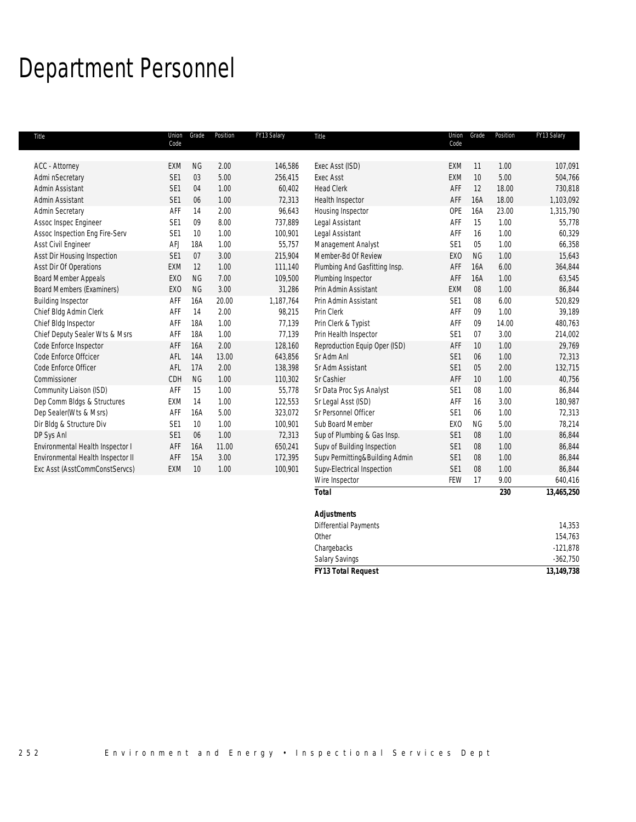## Department Personnel

| Title                             | Union<br>Code   | Grade     | Position | FY13 Salary | Title                          | Union<br>Code   | Grade     | Position | FY13 Salary |
|-----------------------------------|-----------------|-----------|----------|-------------|--------------------------------|-----------------|-----------|----------|-------------|
|                                   |                 |           |          |             |                                |                 |           |          |             |
| <b>ACC</b> - Attorney             | <b>EXM</b>      | <b>NG</b> | 2.00     | 146,586     | Exec Asst (ISD)                | <b>EXM</b>      | 11        | 1.00     | 107,091     |
| Admi nSecretary                   | SE <sub>1</sub> | 03        | 5.00     | 256,415     | Exec Asst                      | EXM             | 10        | 5.00     | 504,766     |
| Admin Assistant                   | SE1             | 04        | 1.00     | 60,402      | <b>Head Clerk</b>              | AFF             | 12        | 18.00    | 730,818     |
| Admin Assistant                   | SE <sub>1</sub> | 06        | 1.00     | 72,313      | Health Inspector               | AFF             | 16A       | 18.00    | 1,103,092   |
| <b>Admin Secretary</b>            | AFF             | 14        | 2.00     | 96,643      | Housing Inspector              | <b>OPE</b>      | 16A       | 23.00    | 1,315,790   |
| Assoc Inspec Engineer             | SE1             | 09        | 8.00     | 737,889     | Legal Assistant                | AFF             | 15        | 1.00     | 55,778      |
| Assoc Inspection Eng Fire-Serv    | SE <sub>1</sub> | 10        | 1.00     | 100,901     | Legal Assistant                | AFF             | 16        | 1.00     | 60,329      |
| Asst Civil Engineer               | <b>AFJ</b>      | 18A       | 1.00     | 55,757      | Management Analyst             | SE <sub>1</sub> | 05        | 1.00     | 66,358      |
| Asst Dir Housing Inspection       | SE <sub>1</sub> | 07        | 3.00     | 215,904     | Member-Bd Of Review            | EX <sub>0</sub> | <b>NG</b> | 1.00     | 15,643      |
| Asst Dir Of Operations            | EXM             | 12        | 1.00     | 111,140     | Plumbing And Gasfitting Insp.  | AFF             | 16A       | 6.00     | 364,844     |
| <b>Board Member Appeals</b>       | EX <sub>0</sub> | <b>NG</b> | 7.00     | 109,500     | Plumbing Inspector             | AFF             | 16A       | 1.00     | 63,545      |
| <b>Board Members (Examiners)</b>  | EX <sub>0</sub> | <b>NG</b> | 3.00     | 31,286      | Prin Admin Assistant           | <b>EXM</b>      | 08        | 1.00     | 86,844      |
| <b>Building Inspector</b>         | AFF             | 16A       | 20.00    | 1,187,764   | Prin Admin Assistant           | SE <sub>1</sub> | 08        | 6.00     | 520,829     |
| Chief Bldg Admin Clerk            | AFF             | 14        | 2.00     | 98,215      | Prin Clerk                     | AFF             | 09        | 1.00     | 39,189      |
| Chief Bldg Inspector              | AFF             | 18A       | 1.00     | 77,139      | Prin Clerk & Typist            | AFF             | 09        | 14.00    | 480,763     |
| Chief Deputy Sealer Wts & Msrs    | AFF             | 18A       | 1.00     | 77,139      | Prin Health Inspector          | SE <sub>1</sub> | 07        | 3.00     | 214,002     |
| Code Enforce Inspector            | AFF             | 16A       | 2.00     | 128,160     | Reproduction Equip Oper (ISD)  | AFF             | 10        | 1.00     | 29,769      |
| Code Enforce Offcicer             | AFL             | 14A       | 13.00    | 643,856     | Sr Adm Anl                     | SE <sub>1</sub> | 06        | 1.00     | 72,313      |
| Code Enforce Officer              | AFL             | 17A       | 2.00     | 138,398     | Sr Adm Assistant               | SE <sub>1</sub> | 05        | 2.00     | 132,715     |
| Commissioner                      | CDH             | <b>NG</b> | 1.00     | 110,302     | Sr Cashier                     | AFF             | 10        | 1.00     | 40,756      |
| Community Liaison (ISD)           | AFF             | 15        | 1.00     | 55,778      | Sr Data Proc Sys Analyst       | SE <sub>1</sub> | 08        | 1.00     | 86,844      |
| Dep Comm Bldgs & Structures       | EXM             | 14        | 1.00     | 122,553     | Sr Legal Asst (ISD)            | AFF             | 16        | 3.00     | 180,987     |
| Dep Sealer(Wts & Msrs)            | AFF             | 16A       | 5.00     | 323,072     | Sr Personnel Officer           | SE <sub>1</sub> | 06        | 1.00     | 72,313      |
| Dir Bldg & Structure Div          | SE <sub>1</sub> | 10        | 1.00     | 100,901     | Sub Board Member               | EX <sub>0</sub> | <b>NG</b> | 5.00     | 78,214      |
| DP Sys Anl                        | SE1             | 06        | 1.00     | 72,313      | Sup of Plumbing & Gas Insp.    | SE <sub>1</sub> | 08        | 1.00     | 86,844      |
| Environmental Health Inspector I  | AFF             | 16A       | 11.00    | 650,241     | Supv of Building Inspection    | SE <sub>1</sub> | 08        | 1.00     | 86,844      |
| Environmental Health Inspector II | AFF             | 15A       | 3.00     | 172,395     | Supv Permitting&Building Admin | SE <sub>1</sub> | 08        | 1.00     | 86,844      |
| Exc Asst (AsstCommConstServcs)    | <b>EXM</b>      | 10        | 1.00     | 100,901     | Supv-Electrical Inspection     | SE <sub>1</sub> | 08        | 1.00     | 86,844      |
|                                   |                 |           |          |             | Wire Inspector                 | FEW             | 17        | 9.00     | 640,416     |
|                                   |                 |           |          |             | <b>Total</b>                   |                 |           | 230      | 13,465,250  |

| .                            | --- | $.97.997 - 0.000$ |
|------------------------------|-----|-------------------|
| <b>Adjustments</b>           |     |                   |
| <b>Differential Payments</b> |     | 14,353            |
| Other                        |     | 154,763           |
| Chargebacks                  |     | $-121,878$        |
| <b>Salary Savings</b>        |     | $-362,750$        |
| <b>FY13 Total Request</b>    |     | 13, 149, 738      |
|                              |     |                   |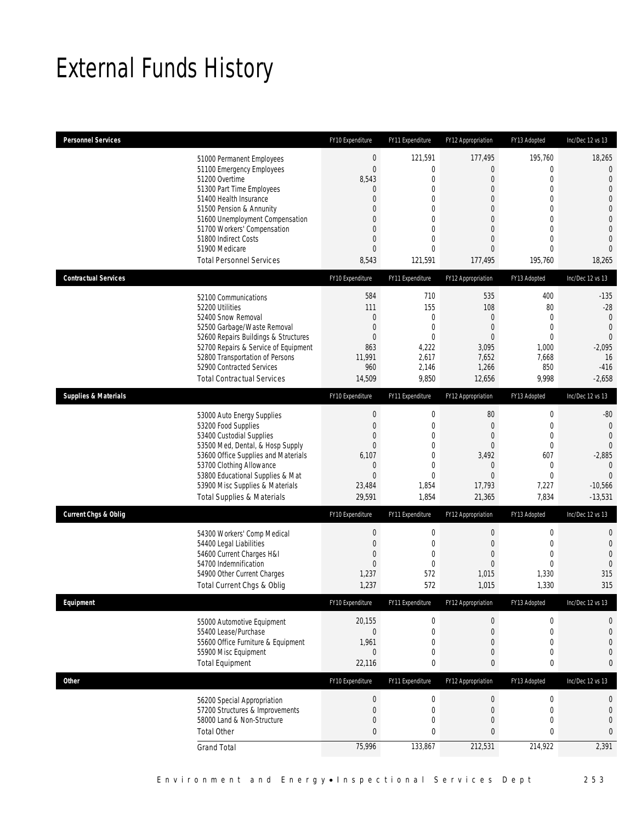## External Funds History

| <b>Personnel Services</b>       |                                                                                                                                                                                                                                                                                                            | FY10 Expenditure                                                                                               | FY11 Expenditure                                                                                                                      | FY12 Appropriation                                                                                     | FY13 Adopted                                                                                                      | Inc/Dec 12 vs 13                                                                                                                                                       |
|---------------------------------|------------------------------------------------------------------------------------------------------------------------------------------------------------------------------------------------------------------------------------------------------------------------------------------------------------|----------------------------------------------------------------------------------------------------------------|---------------------------------------------------------------------------------------------------------------------------------------|--------------------------------------------------------------------------------------------------------|-------------------------------------------------------------------------------------------------------------------|------------------------------------------------------------------------------------------------------------------------------------------------------------------------|
|                                 | 51000 Permanent Employees<br>51100 Emergency Employees<br>51200 Overtime<br>51300 Part Time Employees<br>51400 Health Insurance<br>51500 Pension & Annunity<br>51600 Unemployment Compensation<br>51700 Workers' Compensation<br>51800 Indirect Costs<br>51900 Medicare<br><b>Total Personnel Services</b> | $\boldsymbol{0}$<br>$\overline{0}$<br>8,543<br>0<br>0<br>0<br>0<br>0<br>$\mathbf 0$<br>$\overline{0}$<br>8,543 | 121,591<br>$\mathbf 0$<br>$\mathbf 0$<br>$\mathbf{0}$<br>$\mathbf 0$<br>0<br>$\mathbf{0}$<br>0<br>$\mathbf{0}$<br>$\Omega$<br>121,591 | 177,495<br>0<br>0<br>0<br>$\overline{0}$<br>0<br>$\overline{0}$<br>0<br>0<br>$\overline{0}$<br>177,495 | 195,760<br>$\boldsymbol{0}$<br>$\boldsymbol{0}$<br>$\mathbf 0$<br>0<br>0<br>0<br>0<br>$\mathbf 0$<br>0<br>195,760 | 18,265<br>$\theta$<br>$\overline{0}$<br>$\mathbf{0}$<br>$\overline{0}$<br>$\overline{0}$<br>$\mathbf{0}$<br>$\overline{0}$<br>$\mathbf{0}$<br>$\overline{0}$<br>18,265 |
| <b>Contractual Services</b>     |                                                                                                                                                                                                                                                                                                            | FY10 Expenditure                                                                                               | FY11 Expenditure                                                                                                                      | FY12 Appropriation                                                                                     | FY13 Adopted                                                                                                      | Inc/Dec 12 vs 13                                                                                                                                                       |
|                                 | 52100 Communications<br>52200 Utilities<br>52400 Snow Removal<br>52500 Garbage/Waste Removal<br>52600 Repairs Buildings & Structures<br>52700 Repairs & Service of Equipment<br>52800 Transportation of Persons<br>52900 Contracted Services<br><b>Total Contractual Services</b>                          | 584<br>111<br>0<br>$\mathbf 0$<br>0<br>863<br>11,991<br>960<br>14,509                                          | 710<br>155<br>0<br>$\mathbf 0$<br>$\mathbf{0}$<br>4,222<br>2,617<br>2,146<br>9,850                                                    | 535<br>108<br>0<br>$\boldsymbol{0}$<br>$\overline{0}$<br>3,095<br>7,652<br>1,266<br>12,656             | 400<br>80<br>0<br>$\mathbf{0}$<br>$\mathbf{0}$<br>1,000<br>7,668<br>850<br>9,998                                  | $-135$<br>$-28$<br>$\mathbf 0$<br>$\overline{0}$<br>$\overline{0}$<br>$-2,095$<br>16<br>$-416$<br>$-2,658$                                                             |
| <b>Supplies &amp; Materials</b> |                                                                                                                                                                                                                                                                                                            | FY10 Expenditure                                                                                               | FY11 Expenditure                                                                                                                      | FY12 Appropriation                                                                                     | FY13 Adopted                                                                                                      | Inc/Dec 12 vs 13                                                                                                                                                       |
|                                 | 53000 Auto Energy Supplies<br>53200 Food Supplies<br>53400 Custodial Supplies<br>53500 Med, Dental, & Hosp Supply<br>53600 Office Supplies and Materials<br>53700 Clothing Allowance<br>53800 Educational Supplies & Mat<br>53900 Misc Supplies & Materials<br><b>Total Supplies &amp; Materials</b>       | $\boldsymbol{0}$<br>$\mathbf 0$<br>0<br>0<br>6,107<br>0<br>$\mathbf 0$<br>23,484<br>29,591                     | $\boldsymbol{0}$<br>$\mathbf 0$<br>$\mathbf{0}$<br>0<br>$\mathbf{0}$<br>0<br>$\mathbf 0$<br>1,854<br>1,854                            | $80\,$<br>$\mathbf 0$<br>0<br>$\overline{0}$<br>3,492<br>0<br>$\boldsymbol{0}$<br>17,793<br>21,365     | $\boldsymbol{0}$<br>$\boldsymbol{0}$<br>0<br>0<br>607<br>$\mathbf 0$<br>$\mathbf 0$<br>7,227<br>7,834             | $-80$<br>$\mathbf 0$<br>$\overline{0}$<br>$\overline{0}$<br>$-2,885$<br>$\overline{0}$<br>$\overline{0}$<br>$-10,566$<br>$-13,531$                                     |
| <b>Current Chgs &amp; Oblig</b> |                                                                                                                                                                                                                                                                                                            | FY10 Expenditure                                                                                               | FY11 Expenditure                                                                                                                      | FY12 Appropriation                                                                                     | FY13 Adopted                                                                                                      | Inc/Dec 12 vs 13                                                                                                                                                       |
|                                 | 54300 Workers' Comp Medical<br>54400 Legal Liabilities<br>54600 Current Charges H&I<br>54700 Indemnification<br>54900 Other Current Charges<br>Total Current Chgs & Oblig                                                                                                                                  | $\boldsymbol{0}$<br>$\mathbf 0$<br>0<br>$\overline{0}$<br>1,237<br>1,237                                       | $\boldsymbol{0}$<br>$\mathbf 0$<br>$\mathbf{0}$<br>$\mathbf 0$<br>572<br>572                                                          | $\boldsymbol{0}$<br>$\mathbf 0$<br>0<br>0<br>1,015<br>1,015                                            | $\boldsymbol{0}$<br>$\boldsymbol{0}$<br>0<br>0<br>1,330<br>1,330                                                  | $\theta$<br>$\mathbf 0$<br>$\overline{0}$<br>$\overline{0}$<br>315<br>315                                                                                              |
| Equipment                       |                                                                                                                                                                                                                                                                                                            | FY10 Expenditure                                                                                               | FY11 Expenditure                                                                                                                      | FY12 Appropriation                                                                                     | FY13 Adopted                                                                                                      | Inc/Dec 12 vs 13                                                                                                                                                       |
|                                 | 55000 Automotive Equipment<br>55400 Lease/Purchase<br>55600 Office Furniture & Equipment<br>55900 Misc Equipment<br><b>Total Equipment</b>                                                                                                                                                                 | 20,155<br>$\mathbf 0$<br>1,961<br>0<br>22,116                                                                  | $\boldsymbol{0}$<br>$\mathbf 0$<br>$\mathbf{0}$<br>$\boldsymbol{0}$<br>0                                                              | 0<br>$\mathbf 0$<br>0<br>0<br>0                                                                        | 0<br>$\boldsymbol{0}$<br>$\mathbf 0$<br>0<br>0                                                                    | 0<br>$\mathbf{0}$<br>$\mathbf{0}$<br>$\mathbf 0$<br>$\boldsymbol{0}$                                                                                                   |
| Other                           |                                                                                                                                                                                                                                                                                                            | FY10 Expenditure                                                                                               | FY11 Expenditure                                                                                                                      | FY12 Appropriation                                                                                     | FY13 Adopted                                                                                                      | Inc/Dec 12 vs 13                                                                                                                                                       |
|                                 | 56200 Special Appropriation<br>57200 Structures & Improvements<br>58000 Land & Non-Structure<br><b>Total Other</b>                                                                                                                                                                                         | $\theta$<br>$\mathbf 0$<br>0<br>$\overline{0}$                                                                 | $\boldsymbol{0}$<br>$\mathbf 0$<br>0<br>$\mathbf 0$                                                                                   | 0<br>$\mathbf 0$<br>0<br>$\bf{0}$                                                                      | 0<br>$\boldsymbol{0}$<br>0<br>0                                                                                   | $\boldsymbol{0}$<br>$\boldsymbol{0}$<br>$\theta$<br>$\mathbf 0$                                                                                                        |
|                                 | <b>Grand Total</b>                                                                                                                                                                                                                                                                                         | 75,996                                                                                                         | 133,867                                                                                                                               | 212,531                                                                                                | 214,922                                                                                                           | 2,391                                                                                                                                                                  |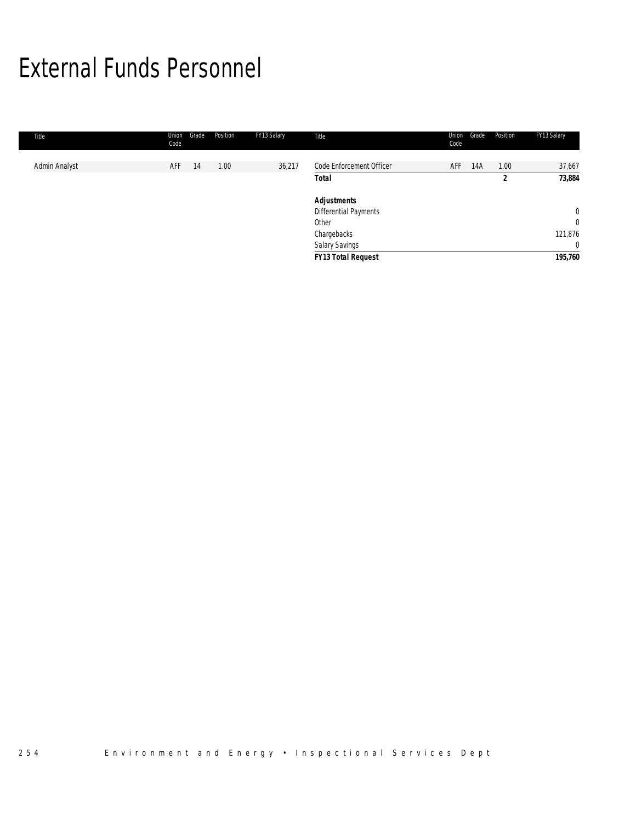## External Funds Personnel

| Title         | Union<br>Code | Position<br>Grade | FY13 Salary | Title                                       | Union<br>Grade<br>Code | Position  | FY13 Salary               |
|---------------|---------------|-------------------|-------------|---------------------------------------------|------------------------|-----------|---------------------------|
| Admin Analyst | AFF           | 1.00<br>14        | 36,217      | Code Enforcement Officer<br><b>Total</b>    | AFF<br>14A             | 1.00<br>2 | 37,667<br>73,884          |
|               |               |                   |             | <b>Adjustments</b><br>Differential Payments |                        |           | $\mathbf{0}$              |
|               |               |                   |             | Other<br>Chargebacks                        |                        |           | $\mathbf{0}$<br>121,876   |
|               |               |                   |             | Salary Savings<br><b>FY13 Total Request</b> |                        |           | $\overline{0}$<br>195,760 |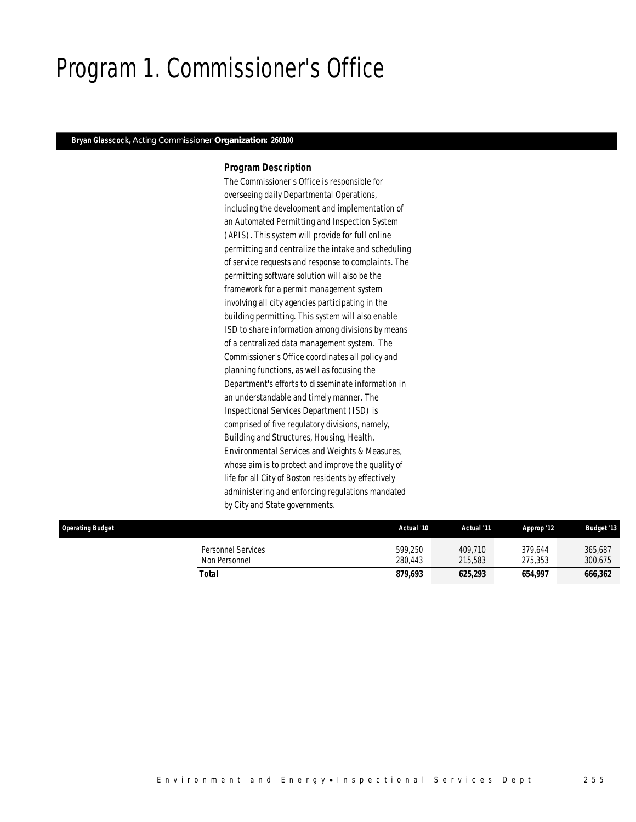## Program 1. Commissioner's Office

### *Bryan Glasscock, Acting Commissioner Organization: 260100*

### *Program Description*

The Commissioner's Office is responsible for overseeing daily Departmental Operations, including the development and implementation of an Automated Permitting and Inspection System (APIS). This system will provide for full online permitting and centralize the intake and scheduling of service requests and response to complaints. The permitting software solution will also be the framework for a permit management system involving all city agencies participating in the building permitting. This system will also enable ISD to share information among divisions by means of a centralized data management system. The Commissioner's Office coordinates all policy and planning functions, as well as focusing the Department's efforts to disseminate information in an understandable and timely manner. The Inspectional Services Department (ISD) is comprised of five regulatory divisions, namely, Building and Structures, Housing, Health, Environmental Services and Weights & Measures, whose aim is to protect and improve the quality of life for all City of Boston residents by effectively administering and enforcing regulations mandated by City and State governments.

| <b>Operating Budget</b> |                                     | Actual '10         | Actual '11         | Approp '12         | <b>Budget '13</b>  |
|-------------------------|-------------------------------------|--------------------|--------------------|--------------------|--------------------|
|                         | Personnel Services<br>Non Personnel | 599.250<br>280.443 | 409.710<br>215,583 | 379.644<br>275.353 | 365,687<br>300,675 |
|                         | Total                               | 879,693            | 625,293            | 654,997            | 666,362            |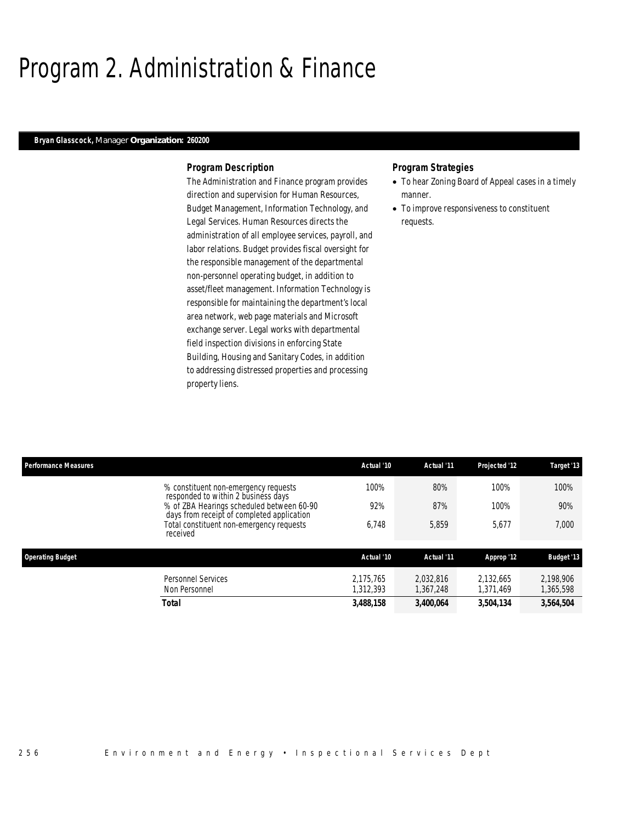## Program 2. Administration & Finance

### *Bryan Glasscock, Manager Organization: 260200*

### *Program Description*

The Administration and Finance program provides direction and supervision for Human Resources, Budget Management, Information Technology, and Legal Services. Human Resources directs the administration of all employee services, payroll, and labor relations. Budget provides fiscal oversight for the responsible management of the departmental non-personnel operating budget, in addition to asset/fleet management. Information Technology is responsible for maintaining the department's local area network, web page materials and Microsoft exchange server. Legal works with departmental field inspection divisions in enforcing State Building, Housing and Sanitary Codes, in addition to addressing distressed properties and processing property liens.

### *Program Strategies*

- To hear Zoning Board of Appeal cases in a timely manner.
- To improve responsiveness to constituent requests.

| <b>Performance Measures</b>                |                                                                                         | Actual '10<br>Actual '11 | Projected '12          | Target '13             |
|--------------------------------------------|-----------------------------------------------------------------------------------------|--------------------------|------------------------|------------------------|
|                                            | 100%<br>% constituent non-emergency requests<br>responded to within 2 business days     | 80%                      | 100%                   | 100%                   |
|                                            | % of ZBA Hearings scheduled between 60-90<br>days from receipt of completed application | 92%<br>87%               | 100%                   | 90%                    |
| received                                   | Total constituent non-emergency requests<br>6,748                                       | 5,859                    | 5,677                  | 7,000                  |
| <b>Operating Budget</b>                    |                                                                                         | Actual '10<br>Actual '11 | Approp '12             | <b>Budget '13</b>      |
|                                            |                                                                                         |                          |                        |                        |
| <b>Personnel Services</b><br>Non Personnel | 2.175.765<br>1,312,393                                                                  | 2.032.816<br>1,367,248   | 2.132.665<br>1,371,469 | 2,198,906<br>1,365,598 |
| <b>Total</b>                               | 3,488,158                                                                               | 3,400,064                | 3,504,134              | 3,564,504              |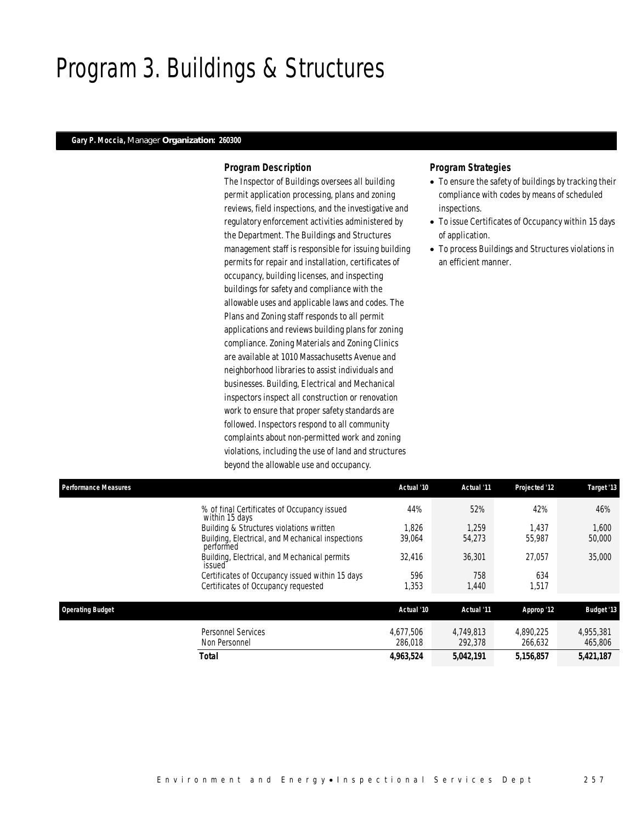## Program 3. Buildings & Structures

### *Gary P. Moccia, Manager Organization: 260300*

### *Program Description*

The Inspector of Buildings oversees all building permit application processing, plans and zoning reviews, field inspections, and the investigative and regulatory enforcement activities administered by the Department. The Buildings and Structures management staff is responsible for issuing building permits for repair and installation, certificates of occupancy, building licenses, and inspecting buildings for safety and compliance with the allowable uses and applicable laws and codes. The Plans and Zoning staff responds to all permit applications and reviews building plans for zoning compliance. Zoning Materials and Zoning Clinics are available at 1010 Massachusetts Avenue and neighborhood libraries to assist individuals and businesses. Building, Electrical and Mechanical inspectors inspect all construction or renovation work to ensure that proper safety standards are followed. Inspectors respond to all community complaints about non-permitted work and zoning violations, including the use of land and structures beyond the allowable use and occupancy.

## *Program Strategies*

- To ensure the safety of buildings by tracking their compliance with codes by means of scheduled inspections.
- To issue Certificates of Occupancy within 15 days of application.
- To process Buildings and Structures violations in an efficient manner.

| <b>Performance Measures</b> |                                                               | Actual '10           | Actual '11           | Projected '12        | Target '13           |
|-----------------------------|---------------------------------------------------------------|----------------------|----------------------|----------------------|----------------------|
|                             | % of final Certificates of Occupancy issued<br>within 15 days | 44%                  | 52%                  | 42%                  | 46%                  |
|                             | Building & Structures violations written                      | 1.826                | 1.259                | 1,437                | 1,600                |
|                             | Building, Electrical, and Mechanical inspections<br>performed | 39,064               | 54,273               | 55.987               | 50,000               |
|                             | Building, Electrical, and Mechanical permits<br>issued        | 32.416               | 36,301               | 27.057               | 35,000               |
|                             | Certificates of Occupancy issued within 15 days               | 596                  | 758                  | 634                  |                      |
|                             | Certificates of Occupancy requested                           | 1,353                | 1,440                | 1,517                |                      |
| <b>Operating Budget</b>     |                                                               | Actual '10           | Actual '11           | Approp '12           | <b>Budget '13</b>    |
|                             | <b>Personnel Services</b><br>Non Personnel                    | 4.677.506<br>286.018 | 4.749.813<br>292,378 | 4.890.225<br>266.632 | 4,955,381<br>465,806 |

*Total 4,963,524 5,042,191 5,156,857 5,421,187*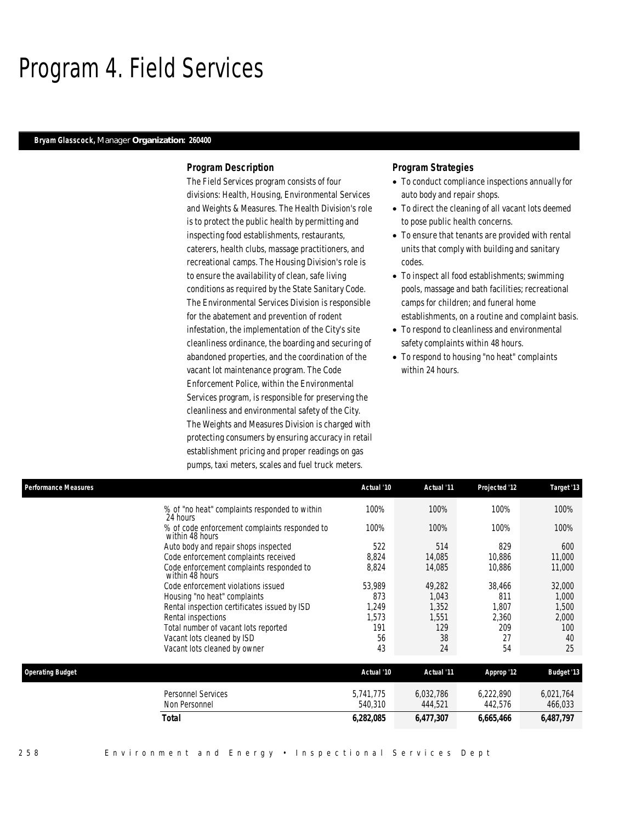## Program 4. Field Services

### *Bryam Glasscock, Manager Organization: 260400*

### *Program Description*

The Field Services program consists of four divisions: Health, Housing, Environmental Services and Weights & Measures. The Health Division's role is to protect the public health by permitting and inspecting food establishments, restaurants, caterers, health clubs, massage practitioners, and recreational camps. The Housing Division's role is to ensure the availability of clean, safe living conditions as required by the State Sanitary Code. The Environmental Services Division is responsible for the abatement and prevention of rodent infestation, the implementation of the City's site cleanliness ordinance, the boarding and securing of abandoned properties, and the coordination of the vacant lot maintenance program. The Code Enforcement Police, within the Environmental Services program, is responsible for preserving the cleanliness and environmental safety of the City. The Weights and Measures Division is charged with protecting consumers by ensuring accuracy in retail establishment pricing and proper readings on gas pumps, taxi meters, scales and fuel truck meters.

## *Program Strategies*

- To conduct compliance inspections annually for auto body and repair shops.
- To direct the cleaning of all vacant lots deemed to pose public health concerns.
- To ensure that tenants are provided with rental units that comply with building and sanitary codes.
- To inspect all food establishments; swimming pools, massage and bath facilities; recreational camps for children; and funeral home establishments, on a routine and complaint basis.
- To respond to cleanliness and environmental safety complaints within 48 hours.
- To respond to housing "no heat" complaints within 24 hours.

| <b>Performance Measures</b> |                                                                  | Actual '10 | Actual '11 | Projected '12 | Target '13        |
|-----------------------------|------------------------------------------------------------------|------------|------------|---------------|-------------------|
|                             | % of "no heat" complaints responded to within<br>24 hours        | 100%       | 100%       | 100%          | 100%              |
|                             | % of code enforcement complaints responded to<br>within 48 hours | 100%       | 100%       | 100%          | 100%              |
|                             | Auto body and repair shops inspected                             | 522        | 514        | 829           | 600               |
|                             | Code enforcement complaints received                             | 8,824      | 14,085     | 10,886        | 11,000            |
|                             | Code enforcement complaints responded to<br>within 48 hours      | 8,824      | 14,085     | 10,886        | 11,000            |
|                             | Code enforcement violations issued                               | 53,989     | 49,282     | 38,466        | 32,000            |
|                             | Housing "no heat" complaints                                     | 873        | 1.043      | 811           | 1,000             |
|                             | Rental inspection certificates issued by ISD                     | 1,249      | 1,352      | 1,807         | 1,500             |
|                             | Rental inspections                                               | 1,573      | 1,551      | 2,360         | 2,000             |
|                             | Total number of vacant lots reported                             | 191        | 129        | 209           | 100               |
|                             | Vacant lots cleaned by ISD                                       | 56         | 38         | 27            | 40                |
|                             | Vacant lots cleaned by owner                                     | 43         | 24         | 54            | 25                |
| <b>Operating Budget</b>     |                                                                  | Actual '10 | Actual '11 | Approp '12    | <b>Budget '13</b> |
|                             | <b>Personnel Services</b>                                        | 5,741,775  | 6,032,786  | 6,222,890     | 6,021,764         |
|                             | Non Personnel                                                    | 540,310    | 444,521    | 442,576       | 466,033           |
|                             | <b>Total</b>                                                     | 6,282,085  | 6,477,307  | 6,665,466     | 6,487,797         |